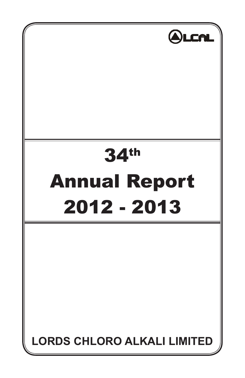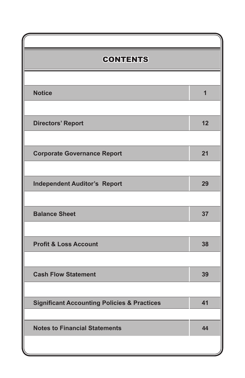| <b>CONTENTS</b>                                        |    |
|--------------------------------------------------------|----|
|                                                        |    |
| <b>Notice</b>                                          | 1  |
|                                                        |    |
| <b>Directors' Report</b>                               | 12 |
|                                                        |    |
| <b>Corporate Governance Report</b>                     | 21 |
|                                                        |    |
| <b>Independent Auditor's Report</b>                    | 29 |
|                                                        |    |
| <b>Balance Sheet</b>                                   | 37 |
|                                                        |    |
| <b>Profit &amp; Loss Account</b>                       | 38 |
|                                                        |    |
| <b>Cash Flow Statement</b>                             | 39 |
|                                                        |    |
| <b>Significant Accounting Policies &amp; Practices</b> | 41 |
| <b>Notes to Financial Statements</b>                   | 44 |
|                                                        |    |
|                                                        |    |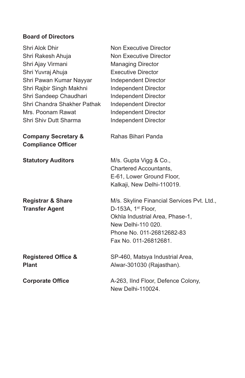## **Board of Directors**

| Shri Alok Dhir                 | Non Executive Director                     |
|--------------------------------|--------------------------------------------|
| Shri Rakesh Ahuja              | Non Executive Director                     |
| Shri Ajay Virmani              | <b>Managing Director</b>                   |
| Shri Yuvraj Ahuja              | <b>Executive Director</b>                  |
| Shri Pawan Kumar Nayyar        | Independent Director                       |
| Shri Rajbir Singh Makhni       | Independent Director                       |
| Shri Sandeep Chaudhari         | Independent Director                       |
| Shri Chandra Shakher Pathak    | Independent Director                       |
| Mrs. Poonam Rawat              | Independent Director                       |
| Shri Shiv Dutt Sharma          | Independent Director                       |
|                                |                                            |
| <b>Company Secretary &amp;</b> | Rahas Bihari Panda                         |
| <b>Compliance Officer</b>      |                                            |
| <b>Statutory Auditors</b>      | M/s. Gupta Vigg & Co.,                     |
|                                | Chartered Accountants,                     |
|                                | E-61, Lower Ground Floor,                  |
|                                | Kalkaji, New Delhi-110019.                 |
|                                |                                            |
| <b>Registrar &amp; Share</b>   | M/s. Skyline Financial Services Pvt. Ltd., |
| <b>Transfer Agent</b>          | D-153A, 1 <sup>st</sup> Floor,             |
|                                | Okhla Industrial Area, Phase-1,            |
|                                | New Delhi-110 020.                         |
|                                | Phone No. 011-26812682-83                  |
|                                | Fax No. 011-26812681.                      |
| <b>Registered Office &amp;</b> | SP-460, Matsya Industrial Area,            |
| <b>Plant</b>                   | Alwar-301030 (Rajasthan).                  |
|                                |                                            |
| <b>Corporate Office</b>        | A-263, IInd Floor, Defence Colony,         |
|                                | New Delhi-110024.                          |
|                                |                                            |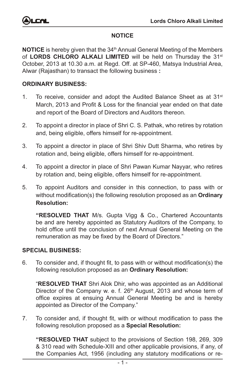#### **notice**

**NOTICE** is hereby given that the 34<sup>th</sup> Annual General Meeting of the Members of **LORDS CHLORO ALKALI LIMITED** will be held on Thursday the 31st October, 2013 at 10.30 a.m. at Regd. Off. at SP-460, Matsya Industrial Area, Alwar (Rajasthan) to transact the following business **:**

#### **ORDINARY BUSINESS:**

- 1. To receive, consider and adopt the Audited Balance Sheet as at  $31<sup>st</sup>$ March, 2013 and Profit & Loss for the financial year ended on that date and report of the Board of Directors and Auditors thereon.
- 2. To appoint a director in place of Shri C. S. Pathak, who retires by rotation and, being eligible, offers himself for re-appointment.
- 3. To appoint a director in place of Shri Shiv Dutt Sharma, who retires by rotation and, being eligible, offers himself for re-appointment.
- 4. To appoint a director in place of Shri Pawan Kumar Nayyar, who retires by rotation and, being eligible, offers himself for re-appointment.
- 5. To appoint Auditors and consider in this connection, to pass with or without modification(s) the following resolution proposed as an **Ordinary Resolution:**

**"RESOLVED THAT** M/s. Gupta Vigg & Co., Chartered Accountants be and are hereby appointed as Statutory Auditors of the Company, to hold office until the conclusion of next Annual General Meeting on the remuneration as may be fixed by the Board of Directors."

#### **SPECIAL BUSINESS:**

6. To consider and, if thought fit, to pass with or without modification(s) the following resolution proposed as an **Ordinary Resolution:**

"**RESOLVED THAT** Shri Alok Dhir, who was appointed as an Additional Director of the Company w. e. f. 26<sup>th</sup> August, 2013 and whose term of office expires at ensuing Annual General Meeting be and is hereby appointed as Director of the Company."

7. To consider and, if thought fit, with or without modification to pass the following resolution proposed as a **Special Resolution:**

**"RESOLVED THAT** subject to the provisions of Section 198, 269, 309 & 310 read with Schedule-XIII and other applicable provisions, if any, of the Companies Act, 1956 (including any statutory modifications or re-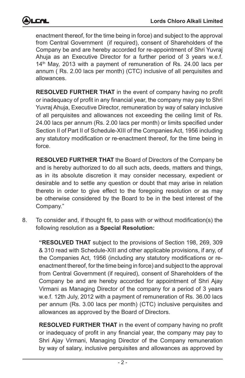enactment thereof, for the time being in force) and subject to the approval from Central Government (if required), consent of Shareholders of the Company be and are hereby accorded for re-appointment of Shri Yuvraj Ahuja as an Executive Director for a further period of 3 years w.e.f. 14<sup>th</sup> May, 2013 with a payment of remuneration of Rs. 24.00 lacs per annum ( Rs. 2.00 lacs per month) (CTC) inclusive of all perquisites and allowances.

**RESOLVED FURTHER THAT** in the event of company having no profit or inadequacy of profit in any financial year, the company may pay to Shri Yuvraj Ahuja, Executive Director, remuneration by way of salary inclusive of all perquisites and allowances not exceeding the ceiling limit of Rs. 24.00 lacs per annum (Rs. 2.00 lacs per month) or limits specified under Section II of Part II of Schedule-XIII of the Companies Act, 1956 including any statutory modification or re-enactment thereof, for the time being in force.

**RESOLVED FURTHER THAT** the Board of Directors of the Company be and is hereby authorized to do all such acts, deeds, matters and things, as in its absolute discretion it may consider necessary, expedient or desirable and to settle any question or doubt that may arise in relation thereto in order to give effect to the foregoing resolution or as may be otherwise considered by the Board to be in the best interest of the Company."

8. To consider and, if thought fit, to pass with or without modification(s) the following resolution as a **Special Resolution:**

**"RESOLVED THAT** subject to the provisions of Section 198, 269, 309 & 310 read with Schedule-XIII and other applicable provisions, if any, of the Companies Act, 1956 (including any statutory modifications or reenactment thereof, for the time being in force) and subject to the approval from Central Government (if required), consent of Shareholders of the Company be and are hereby accorded for appointment of Shri Ajay Virmani as Managing Director of the company for a period of 3 years w.e.f. 12th July, 2012 with a payment of remuneration of Rs. 36.00 lacs per annum (Rs. 3.00 lacs per month) (CTC) inclusive perquisites and allowances as approved by the Board of Directors.

**RESOLVED FURTHER THAT** in the event of company having no profit or inadequacy of profit in any financial year, the company may pay to Shri Ajay Virmani, Managing Director of the Company remuneration by way of salary, inclusive perquisites and allowances as approved by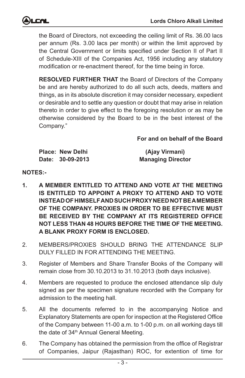the Board of Directors, not exceeding the ceiling limit of Rs. 36.00 lacs per annum (Rs. 3.00 lacs per month) or within the limit approved by the Central Government or limits specified under Section II of Part II of Schedule-XIII of the Companies Act, 1956 including any statutory modification or re-enactment thereof, for the time being in force.

**RESOLVED FURTHER THAT** the Board of Directors of the Company be and are hereby authorized to do all such acts, deeds, matters and things, as in its absolute discretion it may consider necessary, expedient or desirable and to settle any question or doubt that may arise in relation thereto in order to give effect to the foregoing resolution or as may be otherwise considered by the Board to be in the best interest of the Company."

## **For and on behalf of the Board**

| <b>Place: New Delhi</b> | (Ajay Virmani)           |
|-------------------------|--------------------------|
| Date: 30-09-2013        | <b>Managing Director</b> |

#### **NOTES:-**

- **1. A MEMBER ENTITLED TO ATTEND AND VOTE AT THE MEETING IS ENTITLED TO APPOINT A PROXY TO ATTEND AND TO VOTE INSTEADOF HIMSELF ANDSUCH PROXY NEED NOT BE A MEMBER OF THE COMPANY. PROXIES IN ORDER TO BE EFFECTIVE MUST BE RECEIVED BY THE COMPANY AT ITS REGISTERED OFFICE NOT LESS THAN 48 HOURS BEFORE THE TIME OF THE MEETING. A BLANK PROXY FORM IS ENCLOSED.**
- 2. MEMBERS/PROXIES SHOULD BRING THE ATTENDANCE SLIP DULY FILLED IN FOR ATTENDING THE MEETING.
- 3. Register of Members and Share Transfer Books of the Company will remain close from 30.10.2013 to 31.10.2013 (both days inclusive).
- 4. Members are requested to produce the enclosed attendance slip duly signed as per the specimen signature recorded with the Company for admission to the meeting hall.
- 5. All the documents referred to in the accompanying Notice and Explanatory Statements are open for inspection at the Registered Office of the Company between 11-00 a.m. to 1-00 p.m. on all working days till the date of 34<sup>th</sup> Annual General Meeting.
- 6. The Company has obtained the permission from the office of Registrar of Companies, Jaipur (Rajasthan) ROC, for extention of time for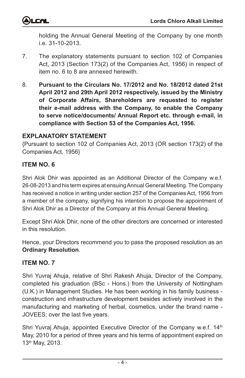holding the Annual General Meeting of the Company by one month i.e. 31-10-2013.

- 7. The explanatory statements pursuant to section 102 of Companies Act, 2013 (Section 173(2) of the Companies Act, 1956) in respect of item no. 6 to 8 are annexed herewith.
- 8. **Pursuant to the Circulars No. 17/2012 and No. 18/2012 dated 21st April 2012 and 29th April 2012 respectively, issued by the Ministry of Corporate Affairs, Shareholders are requested to register their e-mail address with the Company, to enable the Company to serve notice/documents/ Annual Report etc. through e-mail, in compliance with Section 53 of the Companies Act, 1956.**

## **EXPLANATORY STATEMENT**

{Pursuant to section 102 of Companies Act, 2013 (OR section 173(2) of the Companies Act, 1956}

## **ITEM NO. 6**

Shri Alok Dhir was appointed as an Additional Director of the Company w.e.f. 26-08-2013 and his term expires at ensuing Annual General Meeting. The Company has received a notice in writing under section 257 of the Companies Act, 1956 from a member of the company, signifying his intention to propose the appointment of Shri Alok Dhir as a Director of the Company at this Annual General Meeting.

Except Shri Alok Dhir, none of the other directors are concerned or interested in this resolution.

Hence, your Directors recommend you to pass the proposed resolution as an **Ordinary Resolution**.

## **ITEM NO. 7**

Shri Yuvraj Ahuja, relative of Shri Rakesh Ahuja, Director of the Company, completed his graduation (BSc - Hons.) from the University of Nottingham (U.K.) in Management Studies. He has been working in his family business construction and infrastructure development besides actively involved in the manufacturing and marketing of herbal, cosmetics, under the brand name - JOVEES; over the last five years.

Shri Yuvraj Ahuja, appointed Executive Director of the Company w.e.f. 14<sup>th</sup> May, 2010 for a period of three years and his terms of appointment expired on 13th May, 2013.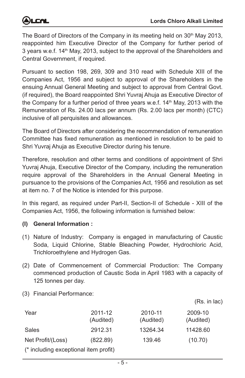The Board of Directors of the Company in its meeting held on 30<sup>th</sup> May 2013, reappointed him Executive Director of the Company for further period of 3 years w.e.f. 14th May, 2013, subject to the approval of the Shareholders and Central Government, if required.

Pursuant to section 198, 269, 309 and 310 read with Schedule XIII of the Companies Act, 1956 and subject to approval of the Shareholders in the ensuing Annual General Meeting and subject to approval from Central Govt. (if required), the Board reappointed Shri Yuvraj Ahuja as Executive Director of the Company for a further period of three years w.e.f.  $14<sup>th</sup>$  May, 2013 with the Remuneration of Rs. 24.00 lacs per annum (Rs. 2.00 lacs per month) (CTC) inclusive of all perquisites and allowances.

The Board of Directors after considering the recommendation of remuneration Committee has fixed remuneration as mentioned in resolution to be paid to Shri Yuvraj Ahuja as Executive Director during his tenure.

Therefore, resolution and other terms and conditions of appointment of Shri Yuvraj Ahuja, Executive Director of the Company, including the remuneration require approval of the Shareholders in the Annual General Meeting in pursuance to the provisions of the Companies Act, 1956 and resolution as set at item no. 7 of the Notice is intended for this purpose.

In this regard, as required under Part-II, Section-II of Schedule - XIII of the Companies Act, 1956, the following information is furnished below:

## **(I) General Information :**

- (1) Nature of Industry: Company is engaged in manufacturing of Caustic Soda, Liquid Chlorine, Stable Bleaching Powder, Hydrochloric Acid, Trichloroethylene and Hydrogen Gas.
- (2) Date of Commencement of Commercial Production: The Company commenced production of Caustic Soda in April 1983 with a capacity of 125 tonnes per day.
- (3) Financial Performance:

(Rs. in lac)

| Year                                  | 2011-12<br>(Audited) | 2010-11<br>(Audited) | 2009-10<br>(Audited) |  |  |
|---------------------------------------|----------------------|----------------------|----------------------|--|--|
| Sales                                 | 2912.31              | 13264.34             | 11428.60             |  |  |
| Net Profit/(Loss)                     | (822.89)             | 139.46               | (10.70)              |  |  |
| (* including exceptional item profit) |                      |                      |                      |  |  |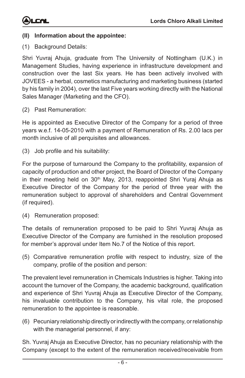## **(II) Information about the appointee:**

(1) Background Details:

Shri Yuvraj Ahuja, graduate from The University of Nottingham (U.K.) in Management Studies, having experience in infrastructure development and construction over the last Six years. He has been actively involved with JOVEES - a herbal, cosmetics manufacturing and marketing business (started by his family in 2004), over the last Five years working directly with the National Sales Manager (Marketing and the CFO).

(2) Past Remuneration:

He is appointed as Executive Director of the Company for a period of three years w.e.f. 14-05-2010 with a payment of Remuneration of Rs. 2.00 lacs per month inclusive of all perquisites and allowances.

(3) Job profile and his suitability:

For the purpose of turnaround the Company to the profitability, expansion of capacity of production and other project, the Board of Director of the Company in their meeting held on  $30<sup>th</sup>$  May, 2013, reappointed Shri Yuraj Ahuja as Executive Director of the Company for the period of three year with the remuneration subject to approval of shareholders and Central Government (if required).

(4) Remuneration proposed:

The details of remuneration proposed to be paid to Shri Yuvraj Ahuja as Executive Director of the Company are furnished in the resolution proposed for member's approval under Item No.7 of the Notice of this report.

(5) Comparative remuneration profile with respect to industry, size of the company, profile of the position and person:

The prevalent level remuneration in Chemicals Industries is higher. Taking into account the turnover of the Company, the academic background, qualification and experience of Shri Yuvraj Ahuja as Executive Director of the Company, his invaluable contribution to the Company, his vital role, the proposed remuneration to the appointee is reasonable.

(6) Pecuniary relationship directly or indirectly with the company, or relationship with the managerial personnel, if any:

Sh. Yuvraj Ahuja as Executive Director, has no pecuniary relationship with the Company (except to the extent of the remuneration received/receivable from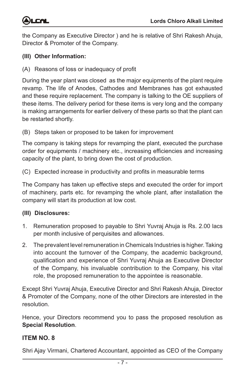

the Company as Executive Director ) and he is relative of Shri Rakesh Ahuja, Director & Promoter of the Company.

#### **(III) Other Information:**

(A) Reasons of loss or inadequacy of profit

During the year plant was closed as the major equipments of the plant require revamp. The life of Anodes, Cathodes and Membranes has got exhausted and these require replacement. The company is talking to the OE suppliers of these items. The delivery period for these items is very long and the company is making arrangements for earlier delivery of these parts so that the plant can be restarted shortly.

(B) Steps taken or proposed to be taken for improvement

The company is taking steps for revamping the plant, executed the purchase order for equipments / machinery etc., increasing efficiencies and increasing capacity of the plant, to bring down the cost of production.

(C) Expected increase in productivity and profits in measurable terms

The Company has taken up effective steps and executed the order for import of machinery, parts etc. for revamping the whole plant, after installation the company will start its production at low cost.

#### **(III) Disclosures:**

- 1. Remuneration proposed to payable to Shri Yuvraj Ahuja is Rs. 2.00 lacs per month inclusive of perquisites and allowances.
- 2. The prevalent level remuneration in Chemicals Industries is higher. Taking into account the turnover of the Company, the academic background, qualification and experience of Shri Yuvraj Ahuja as Executive Director of the Company, his invaluable contribution to the Company, his vital role, the proposed remuneration to the appointee is reasonable.

Except Shri Yuvraj Ahuja, Executive Director and Shri Rakesh Ahuja, Director & Promoter of the Company, none of the other Directors are interested in the resolution.

Hence, your Directors recommend you to pass the proposed resolution as **Special Resolution**.

#### **ITEM NO. 8**

Shri Ajay Virmani, Chartered Accountant, appointed as CEO of the Company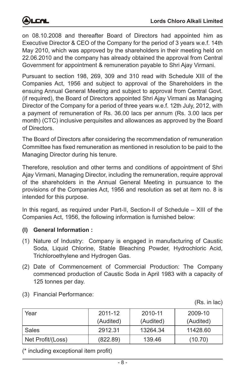on 08.10.2008 and thereafter Board of Directors had appointed him as Executive Director & CEO of the Company for the period of 3 years w.e.f. 14th May 2010, which was approved by the shareholders in their meeting held on 22.06.2010 and the company has already obtained the approval from Central Government for appointment & remuneration payable to Shri Ajay Virmani.

Pursuant to section 198, 269, 309 and 310 read with Schedule XIII of the Companies Act, 1956 and subject to approval of the Shareholders in the ensuing Annual General Meeting and subject to approval from Central Govt. (if required), the Board of Directors appointed Shri Ajay Virmani as Managing Director of the Company for a period of three years w.e.f. 12th July, 2012, with a payment of remuneration of Rs. 36.00 lacs per annum (Rs. 3.00 lacs per month) (CTC) inclusive perquisites and allowances as approved by the Board of Directors.

The Board of Directors after considering the recommendation of remuneration Committee has fixed remuneration as mentioned in resolution to be paid to the Managing Director during his tenure.

Therefore, resolution and other terms and conditions of appointment of Shri Ajay Virmani, Managing Director, including the remuneration, require approval of the shareholders in the Annual General Meeting in pursuance to the provisions of the Companies Act, 1956 and resolution as set at item no. 8 is intended for this purpose.

In this regard, as required under Part-II, Section-II of Schedule – XIII of the Companies Act, 1956, the following information is furnished below:

#### **(I) General Information :**

- (1) Nature of Industry: Company is engaged in manufacturing of Caustic Soda, Liquid Chlorine, Stable Bleaching Powder, Hydrochloric Acid, Trichloroethylene and Hydrogen Gas.
- (2) Date of Commencement of Commercial Production: The Company commenced production of Caustic Soda in April 1983 with a capacity of 125 tonnes per day.

| Year              | 2011-12   | 2010-11   | 2009-10   |
|-------------------|-----------|-----------|-----------|
|                   | (Audited) | (Audited) | (Audited) |
| Sales             | 2912.31   | 13264.34  | 11428.60  |
| Net Profit/(Loss) | (822.89)  | 139.46    | (10.70)   |

(3) Financial Performance:

(Rs. in lac)

(\* including exceptional item profit)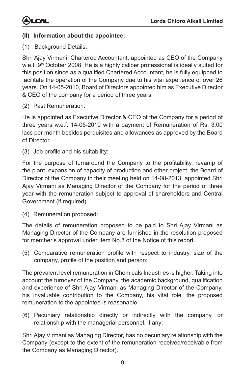#### **(II) Information about the appointee:**

(1) Background Details:

Shri Ajay Virmani, Chartered Accountant, appointed as CEO of the Company w.e.f.  $9<sup>th</sup>$  October 2008. He is a highly caliber professional is ideally suited for this position since as a qualified Chartered Accountant, he is fully equipped to facilitate the operation of the Company due to his vital experience of over 26 years. On 14-05-2010, Board of Directors appointed him as Executive Director & CEO of the company for a period of three years.

(2) Past Remuneration:

He is appointed as Executive Director & CEO of the Company for a period of three years w.e.f. 14-05-2010 with a payment of Remuneration of Rs. 3.00 lacs per month besides perquisites and allowances as approved by the Board of Director.

(3) Job profile and his suitability:

For the purpose of turnaround the Company to the profitability, revamp of the plant, expansion of capacity of production and other project, the Board of Director of the Company in their meeting held on 14-08-2013, appointed Shri Ajay Virmani as Managing Director of the Company for the period of three year with the remuneration subject to approval of shareholders and Central Government (if required).

(4) Remuneration proposed:

The details of remuneration proposed to be paid to Shri Ajay Virmani as Managing Director of the Company are furnished in the resolution proposed for member's approval under Item No.8 of the Notice of this report.

(5) Comparative remuneration profile with respect to industry, size of the company, profile of the position and person:

The prevalent level remuneration in Chemicals Industries is higher. Taking into account the turnover of the Company, the academic background, qualification and experience of Shri Ajay Virmani as Managing Director of the Company, his invaluable contribution to the Company, his vital role, the proposed remuneration to the appointee is reasonable.

(6) Pecuniary relationship directly or indirectly with the company, or relationship with the managerial personnel, if any:

Shri Ajay Virmani as Managing Director, has no pecuniary relationship with the Company (except to the extent of the remuneration received/receivable from the Company as Managing Director).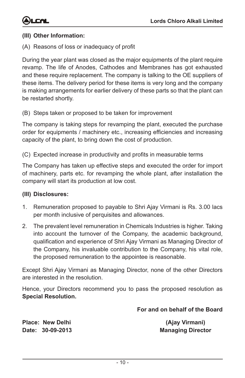#### **(III) Other Information:**

(A) Reasons of loss or inadequacy of profit

During the year plant was closed as the major equipments of the plant require revamp. The life of Anodes, Cathodes and Membranes has got exhausted and these require replacement. The company is talking to the OE suppliers of these items. The delivery period for these items is very long and the company is making arrangements for earlier delivery of these parts so that the plant can be restarted shortly.

(B) Steps taken or proposed to be taken for improvement

The company is taking steps for revamping the plant, executed the purchase order for equipments / machinery etc., increasing efficiencies and increasing capacity of the plant, to bring down the cost of production.

(C) Expected increase in productivity and profits in measurable terms

The Company has taken up effective steps and executed the order for import of machinery, parts etc. for revamping the whole plant, after installation the company will start its production at low cost.

#### **(III) Disclosures:**

- 1. Remuneration proposed to payable to Shri Ajay Virmani is Rs. 3.00 lacs per month inclusive of perquisites and allowances.
- 2. The prevalent level remuneration in Chemicals Industries is higher. Taking into account the turnover of the Company, the academic background, qualification and experience of Shri Ajay Virmani as Managing Director of the Company, his invaluable contribution to the Company, his vital role, the proposed remuneration to the appointee is reasonable.

Except Shri Ajay Virmani as Managing Director, none of the other Directors are interested in the resolution.

Hence, your Directors recommend you to pass the proposed resolution as **Special Resolution.**

#### **For and on behalf of the Board**

**Place: New Delhi (Ajay Virmani)** 

**Date: 30-09-2013 Managing Director**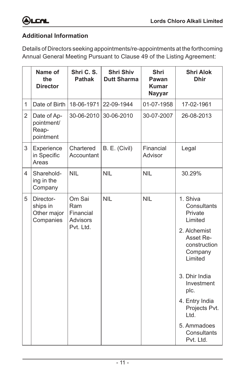

## **Additional Information**

Details of Directors seeking appointments/re-appointments at the forthcoming Annual General Meeting Pursuant to Clause 49 of the Listing Agreement:

|                | Name of<br>the<br><b>Director</b>                 | Shri C. S.<br><b>Pathak</b>                                | <b>Shri Shiv</b><br><b>Dutt Sharma</b> | Shri<br>Pawan<br><b>Kumar</b><br><b>Nayyar</b> | <b>Shri Alok</b><br><b>Dhir</b>                                                                                                                                                                                                  |
|----------------|---------------------------------------------------|------------------------------------------------------------|----------------------------------------|------------------------------------------------|----------------------------------------------------------------------------------------------------------------------------------------------------------------------------------------------------------------------------------|
| 1              | Date of Birth                                     | 18-06-1971                                                 | 22-09-1944                             | 01-07-1958                                     | 17-02-1961                                                                                                                                                                                                                       |
| $\overline{2}$ | Date of Ap-<br>pointment/<br>Reap-<br>pointment   | 30-06-2010                                                 | 30-06-2010                             | 30-07-2007                                     | 26-08-2013                                                                                                                                                                                                                       |
| 3              | Experience<br>in Specific<br>Areas                | Chartered<br>Accountant                                    | B. E. (Civil)                          | Financial<br>Advisor                           | Legal                                                                                                                                                                                                                            |
| 4              | Sharehold-<br>ing in the<br>Company               | <b>NIL</b>                                                 | <b>NIL</b>                             | <b>NIL</b>                                     | 30.29%                                                                                                                                                                                                                           |
| 5              | Director-<br>ships in<br>Other major<br>Companies | Om Sai<br>Ram<br>Financial<br><b>Advisors</b><br>Pvt. Ltd. | <b>NIL</b>                             | <b>NIL</b>                                     | 1. Shiva<br>Consultants<br>Private<br>Limited<br>2. Alchemist<br>Asset Re-<br>construction<br>Company<br>Limited<br>3. Dhir India<br>Investment<br>plc.<br>4. Entry India<br>Projects Pvt.<br>Ltd.<br>5. Ammadoes<br>Consultants |
|                |                                                   |                                                            |                                        |                                                | Pvt. Ltd.                                                                                                                                                                                                                        |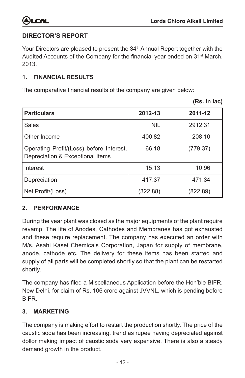

## **DIRECTOR'S REPORT**

Your Directors are pleased to present the 34<sup>th</sup> Annual Report together with the Audited Accounts of the Company for the financial year ended on  $31<sup>st</sup>$  March, 2013.

#### **1. FINANCIAL RESULTS**

The comparative financial results of the company are given below:

**(Rs. in lac)**

| <b>Particulars</b>                                                           | 2012-13    | 2011-12  |
|------------------------------------------------------------------------------|------------|----------|
| Sales                                                                        | <b>NIL</b> | 2912.31  |
| Other Income                                                                 | 400.82     | 208.10   |
| Operating Profit/(Loss) before Interest,<br>Depreciation & Exceptional Items | 66.18      | (779.37) |
| Interest                                                                     | 15.13      | 10.96    |
| Depreciation                                                                 | 417.37     | 471.34   |
| Net Profit/(Loss)                                                            | (322.88)   | (822.89) |

#### **2. PERFORMANCE**

During the year plant was closed as the major equipments of the plant require revamp. The life of Anodes, Cathodes and Membranes has got exhausted and these require replacement. The company has executed an order with M/s. Asahi Kasei Chemicals Corporation, Japan for supply of membrane, anode, cathode etc. The delivery for these items has been started and supply of all parts will be completed shortly so that the plant can be restarted shortly.

The company has filed a Miscellaneous Application before the Hon'ble BIFR, New Delhi, for claim of Rs. 106 crore against JVVNL, which is pending before **BIFR.** 

## **3. MARKETING**

The company is making effort to restart the production shortly. The price of the caustic soda has been increasing, trend as rupee having depreciated against dollor making impact of caustic soda very expensive. There is also a steady demand growth in the product.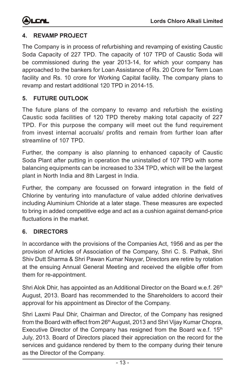## **4. REVAMP PROJECT**

The Company is in process of refurbishing and revamping of existing Caustic Soda Capacity of 227 TPD. The capacity of 107 TPD of Caustic Soda will be commissioned during the year 2013-14, for which your company has approached to the bankers for Loan Assistance of Rs. 20 Crore for Term Loan facility and Rs. 10 crore for Working Capital facility. The company plans to revamp and restart additional 120 TPD in 2014-15.

## **5. FUTURE OUTLOOK**

The future plans of the company to revamp and refurbish the existing Caustic soda facilities of 120 TPD thereby making total capacity of 227 TPD. For this purpose the company will meet out the fund requirement from invest internal accruals/ profits and remain from further loan after streamline of 107 TPD.

Further, the company is also planning to enhanced capacity of Caustic Soda Plant after putting in operation the uninstalled of 107 TPD with some balancing equipments can be increased to 334 TPD, which will be the largest plant in North India and 8th Largest in India.

Further, the company are focussed on forward integration in the field of Chlorine by venturing into manufacture of value added chlorine derivatives including Aluminium Chloride at a later stage. These measures are expected to bring in added competitive edge and act as a cushion against demand-price fluctuations in the market.

## **6. DIRECTORS**

In accordance with the provisions of the Companies Act, 1956 and as per the provision of Articles of Association of the Company, Shri C. S. Pathak, Shri Shiv Dutt Sharma & Shri Pawan Kumar Nayyar, Directors are retire by rotation at the ensuing Annual General Meeting and received the eligible offer from them for re-appointment.

Shri Alok Dhir, has appointed as an Additional Director on the Board w.e.f.  $26<sup>th</sup>$ August, 2013. Board has recommended to the Shareholders to accord their approval for his appointment as Director of the Company.

Shri Laxmi Paul Dhir, Chairman and Director, of the Company has resigned from the Board with effect from 26<sup>th</sup> August, 2013 and Shri Vijay Kumar Chopra, Executive Director of the Company has resigned from the Board w.e.f.  $15<sup>th</sup>$ July, 2013. Board of Directors placed their appreciation on the record for the services and guidance rendered by them to the company during their tenure as the Director of the Company.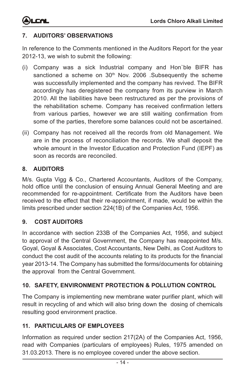## **7. AUDITORS' OBSERVATIONS**

In reference to the Comments mentioned in the Auditors Report for the year 2012-13, we wish to submit the following:

- (i) Company was a sick Industrial company and Hon`ble BIFR has sanctioned a scheme on 30<sup>th</sup> Nov. 2006 .Subsequently the scheme was successfully implemented and the company has revived. The BIFR accordingly has deregistered the company from its purview in March 2010. All the liabilities have been restructured as per the provisions of the rehabilitation scheme. Company has received confirmation letters from various parties, however we are still waiting confirmation from some of the parties, therefore some balances could not be ascertained.
- (ii) Company has not received all the records from old Management. We are in the process of reconciliation the records. We shall deposit the whole amount in the Investor Education and Protection Fund (IEPF) as soon as records are reconciled.

#### **8. AUDITORS**

M/s. Gupta Vigg & Co., Chartered Accountants, Auditors of the Company, hold office until the conclusion of ensuing Annual General Meeting and are recommended for re-appointment. Certificate from the Auditors have been received to the effect that their re-appointment, if made, would be within the limits prescribed under section 224(1B) of the Companies Act, 1956.

## **9. COST AUDITORS**

In accordance with section 233B of the Companies Act, 1956, and subject to approval of the Central Government, the Company has reappointed M/s. Goyal, Goyal & Associates, Cost Accountants, New Delhi, as Cost Auditors to conduct the cost audit of the accounts relating to its products for the financial year 2013-14. The Company has submitted the forms/documents for obtaining the approval from the Central Government.

## **10. SAFETY, ENVIRONMENT PROTECTION & POLLUTION CONTROL**

The Company is implementing new membrane water purifier plant, which will result in recycling of and which will also bring down the dosing of chemicals resulting good environment practice.

## **11. PARTICULARS OF EMPLOYEES**

Information as required under section 217(2A) of the Companies Act, 1956, read with Companies (particulars of employees) Rules, 1975 amended on 31.03.2013. There is no employee covered under the above section.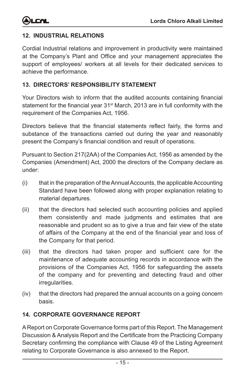

## **12. INDUSTRIAL RELATIONS**

Cordial Industrial relations and improvement in productivity were maintained at the Company's Plant and Office and your management appreciates the support of employees/ workers at all levels for their dedicated services to achieve the performance.

#### **13. DIRECTORS' RESPONSIBILITY STATEMENT**

Your Directors wish to inform that the audited accounts containing financial statement for the financial year  $31<sup>st</sup>$  March, 2013 are in full conformity with the requirement of the Companies Act, 1956.

Directors believe that the financial statements reflect fairly, the forms and substance of the transactions carried out during the year and reasonably present the Company's financial condition and result of operations.

Pursuant to Section 217(2AA) of the Companies Act, 1956 as amended by the Companies (Amendment) Act, 2000 the directors of the Company declare as under:

- (i) that in the preparation of the Annual Accounts, the applicable Accounting Standard have been followed along with proper explanation relating to material departures.
- (ii) that the directors had selected such accounting policies and applied them consistently and made judgments and estimates that are reasonable and prudent so as to give a true and fair view of the state of affairs of the Company at the end of the financial year and loss of the Company for that period.
- (iii) that the directors had taken proper and sufficient care for the maintenance of adequate accounting records in accordance with the provisions of the Companies Act, 1956 for safeguarding the assets of the company and for preventing and detecting fraud and other irregularities.
- (iv) that the directors had prepared the annual accounts on a going concern basis.

## **14. CORPORATE GOVERNANCE REPORT**

A Report on Corporate Governance forms part of this Report. The Management Discussion & Analysis Report and the Certificate from the Practicing Company Secretary confirming the compliance with Clause 49 of the Listing Agreement relating to Corporate Governance is also annexed to the Report.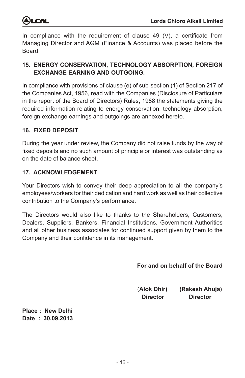

In compliance with the requirement of clause  $49$  (V), a certificate from Managing Director and AGM (Finance & Accounts) was placed before the Board.

## **15. ENERGY CONSERVATION, TECHNOLOGY ABSORPTION, FOREIGN EXCHANGE EARNING AND OUTGOING.**

In compliance with provisions of clause (e) of sub-section (1) of Section 217 of the Companies Act, 1956, read with the Companies (Disclosure of Particulars in the report of the Board of Directors) Rules, 1988 the statements giving the required information relating to energy conservation, technology absorption, foreign exchange earnings and outgoings are annexed hereto.

## **16. FIXED DEPOSIT**

During the year under review, the Company did not raise funds by the way of fixed deposits and no such amount of principle or interest was outstanding as on the date of balance sheet.

## **17. ACKNOWLEDGEMENT**

Your Directors wish to convey their deep appreciation to all the company's employees/workers for their dedication and hard work as well as their collective contribution to the Company's performance.

The Directors would also like to thanks to the Shareholders, Customers, Dealers, Suppliers, Bankers, Financial Institutions, Government Authorities and all other business associates for continued support given by them to the Company and their confidence in its management.

**For and on behalf of the Board**

 (**Alok Dhir) (Rakesh Ahuja) Director Director**

**Place : New Delhi Date : 30.09.2013**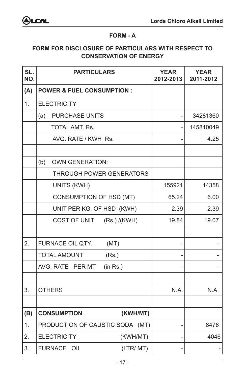#### **FORM - A**

## **FORM FOR DISCLOSURE OF PARTICULARS WITH RESPECT TO CONSERVATION OF ENERGY**

| SL.<br>NO. | <b>PARTICULARS</b>                   | <b>YEAR</b><br>2012-2013 | <b>YEAR</b><br>2011-2012 |
|------------|--------------------------------------|--------------------------|--------------------------|
| (A)        | <b>POWER &amp; FUEL CONSUMPTION:</b> |                          |                          |
| 1.         | <b>ELECTRICITY</b>                   |                          |                          |
|            | <b>PURCHASE UNITS</b><br>(a)         |                          | 34281360                 |
|            | TOTAL AMT. Rs.                       |                          | 145810049                |
|            | AVG. RATE / KWH Rs.                  |                          | 4.25                     |
|            |                                      |                          |                          |
|            | <b>OWN GENERATION:</b><br>(b)        |                          |                          |
|            | THROUGH POWER GENERATORS             |                          |                          |
|            | UNITS (KWH)                          | 155921                   | 14358                    |
|            | CONSUMPTION OF HSD (MT)              | 65.24                    | 6.00                     |
|            | UNIT PER KG. OF HSD (KWH)            | 2.39                     | 2.39                     |
|            | COST OF UNIT<br>(Rs.)/(KWH)          | 19.84                    | 19.07                    |
|            |                                      |                          |                          |
| 2.         | FURNACE OIL QTY.<br>(MT)             |                          |                          |
|            | <b>TOTAL AMOUNT</b><br>(Rs.)         |                          |                          |
|            | AVG. RATE PER MT<br>(in Rs.)         |                          |                          |
|            |                                      |                          |                          |
| 3.         | <b>OTHERS</b>                        | N.A.                     | N.A.                     |
|            |                                      |                          |                          |
| (B)        | <b>CONSUMPTION</b><br>(KWH/MT)       |                          |                          |
| 1.         | PRODUCTION OF CAUSTIC SODA (MT)      |                          | 8476                     |
| 2.         | <b>ELECTRICITY</b><br>(KWH/MT)       |                          | 4046                     |
| 3.         | FURNACE OIL<br>(LTR/MT)              |                          |                          |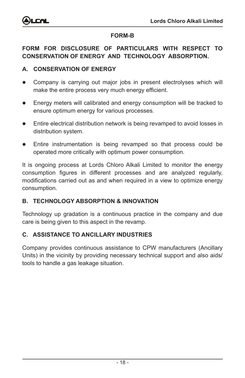#### **FORM-B**

## **FORM FOR DISCLOSURE OF PARTICULARS WITH RESPECT TO CONSERVATION OF ENERGY AND TECHNOLOGY ABSORPTION.**

#### **A. CONSERVATION OF ENERGY**

- Company is carrying out major jobs in present electrolyses which will make the entire process very much energy efficient.
- $\bullet$  Energy meters will calibrated and energy consumption will be tracked to ensure optimum energy for various processes.
- $\bullet$  Entire electrical distribution network is being revamped to avoid losses in distribution system.
- Entire instrumentation is being revamped so that process could be operated more critically with optimum power consumption.

It is ongoing process at Lords Chloro Alkali Limited to monitor the energy consumption figures in different processes and are analyzed regularly, modifications carried out as and when required in a view to optimize energy consumption.

#### **B. TECHNOLOGY ABSORPTION & INNOVATION**

Technology up gradation is a continuous practice in the company and due care is being given to this aspect in the revamp.

#### **C. ASSISTANCE TO ANCILLARY INDUSTRIES**

Company provides continuous assistance to CPW manufacturers (Ancillary Units) in the vicinity by providing necessary technical support and also aids/ tools to handle a gas leakage situation.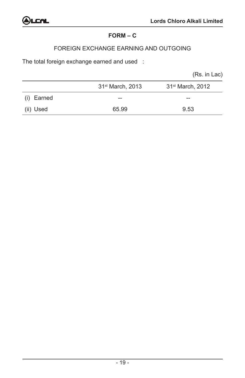## **FORM – C**

## FOREIGN EXCHANGE EARNING AND OUTGOING

The total foreign exchange earned and used :

(Rs. in Lac)

|            | 31 <sup>st</sup> March, 2013 | 31 <sup>st</sup> March, 2012 |
|------------|------------------------------|------------------------------|
| (i) Earned | $- -$                        | $- -$                        |
| (ii) Used  | 65.99                        | 9.53                         |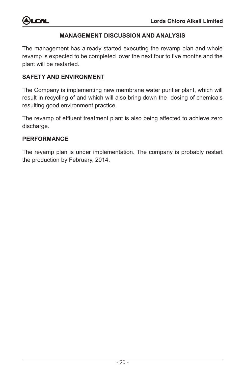

#### **MANAGEMENT DISCUSSION AND ANALYSIS**

The management has already started executing the revamp plan and whole revamp is expected to be completed over the next four to five months and the plant will be restarted.

#### **Safety and Environment**

The Company is implementing new membrane water purifier plant, which will result in recycling of and which will also bring down the dosing of chemicals resulting good environment practice.

The revamp of effluent treatment plant is also being affected to achieve zero discharge.

#### **PERFORMANCE**

The revamp plan is under implementation. The company is probably restart the production by February, 2014.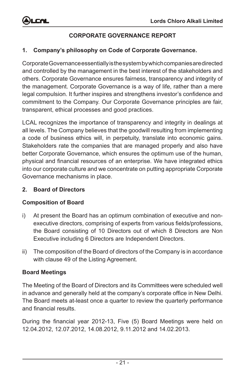## **CORPORATE GOVERNANCE REPORT**

## **1. Company's philosophy on Code of Corporate Governance.**

Corporate Governance essentially is the system by which companies are directed and controlled by the management in the best interest of the stakeholders and others. Corporate Governance ensures fairness, transparency and integrity of the management. Corporate Governance is a way of life, rather than a mere legal compulsion. It further inspires and strengthens investor's confidence and commitment to the Company. Our Corporate Governance principles are fair, transparent, ethical processes and good practices.

LCAL recognizes the importance of transparency and integrity in dealings at all levels. The Company believes that the goodwill resulting from implementing a code of business ethics will, in perpetuity, translate into economic gains. Stakeholders rate the companies that are managed properly and also have better Corporate Governance, which ensures the optimum use of the human, physical and financial resources of an enterprise. We have integrated ethics into our corporate culture and we concentrate on putting appropriate Corporate Governance mechanisms in place.

## **2. Board of Directors**

## **Composition of Board**

- i) At present the Board has an optimum combination of executive and nonexecutive directors, comprising of experts from various fields/professions, the Board consisting of 10 Directors out of which 8 Directors are Non Executive including 6 Directors are Independent Directors.
- ii) The composition of the Board of directors of the Company is in accordance with clause 49 of the Listing Agreement.

## **Board Meetings**

The Meeting of the Board of Directors and its Committees were scheduled well in advance and generally held at the company's corporate office in New Delhi. The Board meets at-least once a quarter to review the quarterly performance and financial results.

During the financial year 2012-13, Five (5) Board Meetings were held on 12.04.2012, 12.07.2012, 14.08.2012, 9.11.2012 and 14.02.2013.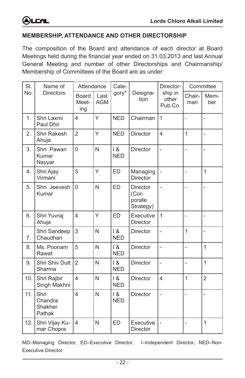## **MEMBERSHIP, ATTENDANCE AND OTHER DIRECTORSHIP**

The composition of the Board and attendance of each director at Board Meetings held during the financial year ended on 31.03.2013 and last Annual General Meeting and number of other Directorships and Chairmanship/ Membership of Committees of the Board are as under:

| SI. | Name of                              | Attendance                   |                    | Cate-             |                                          | Director-                   | Committee      |                |
|-----|--------------------------------------|------------------------------|--------------------|-------------------|------------------------------------------|-----------------------------|----------------|----------------|
| No. | <b>Directors</b>                     | <b>Board</b><br>Meet-<br>ing | Last<br><b>AGM</b> | gory*             | Designa-<br>tion                         | ship in<br>other<br>Pub.Co. | Chair-<br>man  | Mem-<br>ber    |
| 1.  | Shri Laxmi<br>Paul Dhir              | 4                            | Ÿ                  | <b>NED</b>        | Chairman                                 | $\overline{1}$              |                | $\overline{a}$ |
| 2.  | Shri Rakesh<br>Ahuja                 | $\overline{2}$               | Y                  | <b>NED</b>        | Director                                 | $\overline{\mathbf{4}}$     | $\mathbf{1}$   | $\overline{a}$ |
| 3.  | Shri Pawan<br>Kumar<br>Nayyar        | 0                            | N                  | 1 &<br><b>NED</b> | <b>Director</b>                          | $\overline{\phantom{0}}$    | $\overline{a}$ | ÷,             |
| 4.  | Shri Ajay<br>Virmani                 | 5                            | Y                  | <b>ED</b>         | Managing<br><b>Director</b>              | $\overline{a}$              | $\overline{a}$ | $\mathbf{1}$   |
| 5.  | Shri Jeevesh<br>Kumar                | 0                            | N                  | <b>ED</b>         | Director<br>(Cor-<br>porate<br>Strategy) | $\overline{a}$              |                | $\overline{a}$ |
| 6.  | Shri Yuvraj<br>Ahuja                 | 4                            | Y                  | <b>ED</b>         | Executive<br><b>Director</b>             | $\mathbf{1}$                |                |                |
| 7.  | Shri Sandeep<br>Chaudhari            | 3                            | N                  | 18<br><b>NED</b>  | <b>Director</b>                          | $\frac{1}{2}$               | 1              | ÷,             |
| 8.  | Ms. Poonam<br>Rawat                  | 5                            | N                  | 18<br><b>NED</b>  | <b>Director</b>                          | $\overline{a}$              |                | $\mathbf{1}$   |
| 9.  | Shri Shiv Dutt<br>Sharma             | $\overline{2}$               | N                  | 18<br><b>NED</b>  | Director                                 | $\overline{a}$              |                | $\mathbf{1}$   |
| 10. | Shri Rajbir<br>Singh Makhni          | $\overline{4}$               | N                  | 1 &<br><b>NED</b> | Director                                 | 4                           | 1              | $\overline{2}$ |
| 11. | Shri<br>Chandra<br>Shakher<br>Pathak | 4                            | N                  | 1 &<br><b>NED</b> | <b>Director</b>                          | $\overline{a}$              |                | $\overline{a}$ |
| 12. | Shri Vijay Ku-<br>mar Chopra         | 4                            | N                  | <b>ED</b>         | Executive<br>Director                    | $\overline{a}$              | $\overline{a}$ | $\mathbf{1}$   |

MD–Managing Director, ED–Executive Director, I–Independent Director, NED–Non-Executive Director.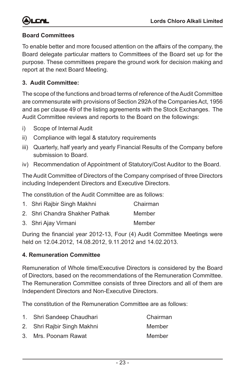

#### **Board Committees**

To enable better and more focused attention on the affairs of the company, the Board delegate particular matters to Committees of the Board set up for the purpose. These committees prepare the ground work for decision making and report at the next Board Meeting.

#### **3. Audit Committee:**

The scope of the functions and broad terms of reference of the Audit Committee are commensurate with provisions of Section 292A of the Companies Act, 1956 and as per clause 49 of the listing agreements with the Stock Exchanges. The Audit Committee reviews and reports to the Board on the followings:

- i) Scope of Internal Audit
- ii) Compliance with legal & statutory requirements
- iii) Quarterly, half yearly and yearly Financial Results of the Company before submission to Board.
- iv) Recommendation of Appointment of Statutory/Cost Auditor to the Board.

The Audit Committee of Directors of the Company comprised of three Directors including Independent Directors and Executive Directors.

The constitution of the Audit Committee are as follows:

| 1. Shri Rajbir Singh Makhni    | Chairman |
|--------------------------------|----------|
| 2. Shri Chandra Shakher Pathak | Member   |
| 3. Shri Ajay Virmani           | Member   |

During the financial year 2012-13, Four (4) Audit Committee Meetings were held on 12.04.2012, 14.08.2012, 9.11.2012 and 14.02.2013.

#### **4. Remuneration Committee**

Remuneration of Whole time/Executive Directors is considered by the Board of Directors, based on the recommendations of the Remuneration Committee. The Remuneration Committee consists of three Directors and all of them are Independent Directors and Non-Executive Directors.

The constitution of the Remuneration Committee are as follows:

| 1. Shri Sandeep Chaudhari   | Chairman |
|-----------------------------|----------|
| 2. Shri Rajbir Singh Makhni | Member   |
| 3. Mrs. Poonam Rawat        | Member   |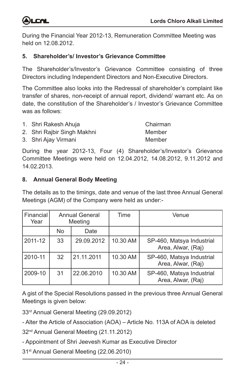

During the Financial Year 2012-13, Remuneration Committee Meeting was held on 12.08.2012.

#### **5. Shareholder's/ Investor's Grievance Committee**

The Shareholder's/Investor's Grievance Committee consisting of three Directors including Independent Directors and Non-Executive Directors.

The Committee also looks into the Redressal of shareholder's complaint like transfer of shares, non-receipt of annual report, dividend/ warrant etc. As on date, the constitution of the Shareholder's / Investor's Grievance Committee was as follows:

- 1. Shri Rakesh Ahuja Chairman
- 2. Shri Rajbir Singh Makhni Member

3. Shri Ajay Virmani Member

During the year 2012-13, Four (4) Shareholder's/Investor's Grievance Committee Meetings were held on 12.04.2012, 14.08.2012, 9.11.2012 and 14.02.2013.

#### **8. Annual General Body Meeting**

The details as to the timings, date and venue of the last three Annual General Meetings (AGM) of the Company were held as under:-

| Financial<br>Year | <b>Annual General</b><br>Meeting |            | Time     | Venue                                           |
|-------------------|----------------------------------|------------|----------|-------------------------------------------------|
|                   | No                               | Date       |          |                                                 |
| 2011-12           | 33                               | 29.09.2012 | 10.30 AM | SP-460, Matsya Industrial<br>Area, Alwar, (Raj) |
| 2010-11           | 32                               | 21.11.2011 | 10.30 AM | SP-460, Matsya Industrial<br>Area, Alwar, (Raj) |
| 2009-10           | 31                               | 22.06.2010 | 10.30 AM | SP-460, Matsya Industrial<br>Area, Alwar, (Raj) |

A gist of the Special Resolutions passed in the previous three Annual General Meetings is given below:

33rd Annual General Meeting (29.09.2012)

- Alter the Article of Association (AOA) – Article No. 113A of AOA is deleted

32nd Annual General Meeting (21.11.2012)

- Appointment of Shri Jeevesh Kumar as Executive Director

31st Annual General Meeting (22.06.2010)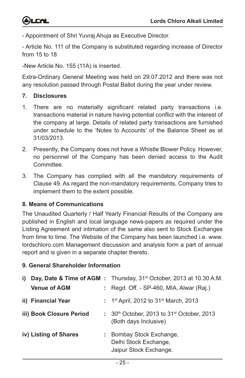- Appointment of Shri Yuvraj Ahuja as Executive Director.

- Article No. 111 of the Company is substituted regarding increase of Director from 15 to 18

-New Article No. 155 (11A) is inserted.

Extra-Ordinary General Meeting was held on 29.07.2012 and there was not any resolution passed through Postal Ballot during the year under review.

## **7. Disclosures**

- 1. There are no materially significant related party transactions i.e. transactions material in nature having potential conflict with the interest of the company at large. Details of related party transactions are furnished under schedule to the 'Notes to Accounts' of the Balance Sheet as at 31/03/2013.
- 2. Presently, the Company does not have a Whistle Blower Policy. However, no personnel of the Company has been denied access to the Audit Committee.
- 3. The Company has complied with all the mandatory requirements of Clause 49. As regard the non-mandatory requirements, Company tries to implement them to the extent possible.

## **8. Means of Communications**

The Unaudited Quarterly / Half Yearly Financial Results of the Company are published in English and local language news-papers as required under the Listing Agreement and intimation of the same also sent to Stock Exchanges from time to time. The Website of the Company has been launched i.e. www. lordschloro.com Management discussion and analysis form a part of annual report and is given in a separate chapter thereto.

## **9. General Shareholder Information**

| i) | <b>Venue of AGM</b>      | <b>Day, Date &amp; Time of AGM</b> : Thursday, $31st$ October, 2013 at 10.30 A.M.<br>: Regd. Off. - SP-460, MIA, Alwar (Raj.) |
|----|--------------------------|-------------------------------------------------------------------------------------------------------------------------------|
|    | ii) Financial Year       | : 1st April, 2012 to 31st March, 2013                                                                                         |
|    | iii) Book Closure Period | : $30th$ October, 2013 to 31 <sup>st</sup> October, 2013<br>(Both days Inclusive)                                             |
|    | iv) Listing of Shares    | : Bombay Stock Exchange,<br>Delhi Stock Exchange,<br>Jaipur Stock Exchange.                                                   |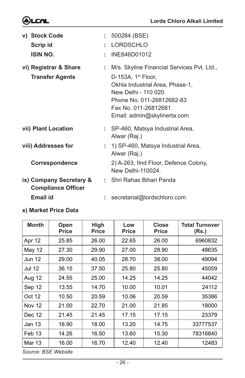# இட்டை

| v) Stock Code<br>Scrip id<br><b>ISIN NO.</b>         | ÷. | : 500284 (BSE)<br>: LORDSCHLO<br>INE846D01012                                                                                                                                                                      |
|------------------------------------------------------|----|--------------------------------------------------------------------------------------------------------------------------------------------------------------------------------------------------------------------|
| vi) Registrar & Share<br><b>Transfer Agents</b>      | ÷. | M/s. Skyline Financial Services Pvt. Ltd.,<br>D-153A, $1st$ Floor,<br>Okhla Industrial Area, Phase-1,<br>New Delhi - 110 020.<br>Phone No. 011-26812682-83<br>Fax No. 011-26812681.<br>Email: admin@skylinerta.com |
| vii) Plant Location                                  |    | : SP-460, Matsya Industrial Area,<br>Alwar (Raj.)                                                                                                                                                                  |
| viii) Addresses for                                  |    | : 1) SP-460, Matsya Industrial Area,<br>Alwar (Raj.)                                                                                                                                                               |
| Correspondence                                       |    | 2) A-263, IInd Floor, Defence Colony,<br>New Delhi-110024.                                                                                                                                                         |
| ix) Company Secretary &<br><b>Compliance Officer</b> |    | : Shri Rahas Bihari Panda                                                                                                                                                                                          |
| Email id                                             |    | secretarial@lordschloro.com                                                                                                                                                                                        |

**x) Market Price Data**

| <b>Month</b>  | Open<br><b>Price</b> | High<br>Price | Low<br><b>Price</b> | <b>Close</b><br><b>Price</b> | <b>Total Turnover</b><br>(Rs.) |
|---------------|----------------------|---------------|---------------------|------------------------------|--------------------------------|
| Apr 12        | 25.85                | 26.00         | 22.65               | 26.00                        | 6960832                        |
| May 12        | 27.30                | 29.90         | 27.00               | 28.90                        | 48635                          |
| <b>Jun 12</b> | 29.00                | 40.05         | 28.70               | 38.00                        | 49094                          |
| Jul 12        | 36.15                | 37.50         | 25.80               | 25.80                        | 45059                          |
| Aug 12        | 24.55                | 25.00         | 14.25               | 14.25                        | 44042                          |
| Sep 12        | 13.55                | 14.70         | 10.00               | 10.01                        | 24112                          |
| Oct 12        | 10.50                | 20.59         | 10.06               | 20.59                        | 35386                          |
| <b>Nov 12</b> | 21.00                | 22.70         | 21.00               | 21.85                        | 18000                          |
| Dec 12        | 21.45                | 21.45         | 17.15               | 17.15                        | 23379                          |
| Jan 13        | 16.90                | 18.00         | 13.20               | 14.75                        | 33777537                       |
| Feb 13        | 14.26                | 16.50         | 13.60               | 15.30                        | 78316840                       |
| Mar 13        | 16.00                | 16.70         | 12.40               | 12.40                        | 12483                          |

*Source: BSE Website*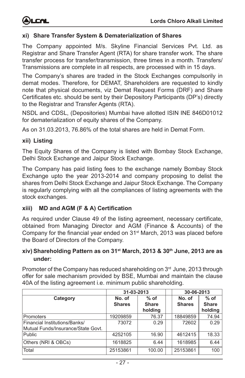#### **xi) Share Transfer System & Dematerialization of Shares**

The Company appointed M/s. Skyline Financial Services Pvt. Ltd. as Registrar and Share Transfer Agent (RTA) for share transfer work. The share transfer process for transfer/transmission, three times in a month. Transfers/ Transmissions are complete in all respects, are processed with in 15 days.

The Company's shares are traded in the Stock Exchanges compulsorily in demat modes. Therefore, for DEMAT, Shareholders are requested to kindly note that physical documents, viz Demat Request Forms (DRF) and Share Certificates etc. should be sent by their Depository Participants (DP's) directly to the Registrar and Transfer Agents (RTA).

NSDL and CDSL, (Depositories) Mumbai have allotted ISIN INE 846D01012 for dematerialization of equity shares of the Company.

As on 31.03.2013, 76.86% of the total shares are held in Demat Form.

#### **xii) Listing**

The Equity Shares of the Company is listed with Bombay Stock Exchange, Delhi Stock Exchange and Jaipur Stock Exchange.

The Company has paid listing fees to the exchange namely Bombay Stock Exchange upto the year 2013-2014 and company proposing to delist the shares from Delhi Stock Exchange and Jaipur Stock Exchange. The Company is regularly complying with all the compliances of listing agreements with the stock exchanges.

#### **xiii) MD and AGM (F & A) Certification**

As required under Clause 49 of the listing agreement, necessary certificate, obtained from Managing Director and AGM (Finance & Accounts) of the Company for the financial year ended on  $31<sup>st</sup>$  March, 2013 was placed before the Board of Directors of the Company.

#### **xiv) Shareholding Pattern as on 31st March, 2013 & 30th June, 2013 are as under:**

Promoter of the Company has reduced shareholding on  $3<sup>rd</sup>$  June, 2013 through offer for sale mechanism provided by BSE, Mumbai and maintain the clause 40A of the listing agreement i.e. minimum public shareholding.

|                                    | 31-03-2013    |              |  | 30-06-2013    |              |  |
|------------------------------------|---------------|--------------|--|---------------|--------------|--|
| Category                           | No. of        | $%$ of       |  | No. of        | $%$ of       |  |
|                                    | <b>Shares</b> | <b>Share</b> |  | <b>Shares</b> | <b>Share</b> |  |
|                                    |               | holding      |  |               | holding      |  |
| Promoters                          | 19209859      | 76.37        |  | 18849859      | 74.94        |  |
| Financial Institutions/Banks/      | 73072         | 0.29         |  | 72602         | 0.29         |  |
| Mutual Funds/Insurance/State Govt. |               |              |  |               |              |  |
| Public                             | 4252105       | 16.90        |  | 4612415       | 18.33        |  |
| Others (NRI & OBCs)                | 1618825       | 6.44         |  | 1618985       | 6.44         |  |
| Total                              | 25153861      | 100.00       |  | 25153861      | 100          |  |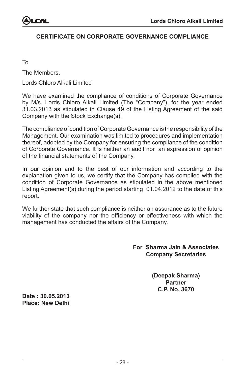## **CERTIFICATE ON CORPORATE GOVERNANCE COMPLIANCE**

To

The Members,

Lords Chloro Alkali Limited

We have examined the compliance of conditions of Corporate Governance by M/s. Lords Chloro Alkali Limited (The "Company"), for the year ended 31.03.2013 as stipulated in Clause 49 of the Listing Agreement of the said Company with the Stock Exchange(s).

The compliance of condition of Corporate Governance is the responsibility of the Management. Our examination was limited to procedures and implementation thereof, adopted by the Company for ensuring the compliance of the condition of Corporate Governance. It is neither an audit nor an expression of opinion of the financial statements of the Company.

In our opinion and to the best of our information and according to the explanation given to us, we certify that the Company has complied with the condition of Corporate Governance as stipulated in the above mentioned Listing Agreement(s) during the period starting 01.04.2012 to the date of this report.

We further state that such compliance is neither an assurance as to the future viability of the company nor the efficiency or effectiveness with which the management has conducted the affairs of the Company.

> **For Sharma Jain & Associates Company Secretaries**

> > **(Deepak Sharma) Partner C.P. No. 3670**

**Date : 30.05.2013 Place: New Delhi**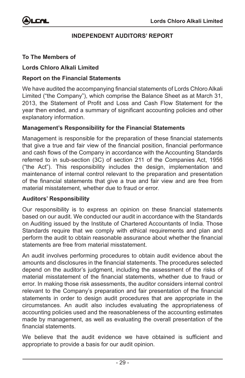

#### **INDEPENDENT AUDITORS' REPORT**

#### **To The Members of**

#### **Lords Chloro Alkali Limited**

#### **Report on the Financial Statements**

We have audited the accompanying financial statements of Lords Chloro Alkali Limited ("the Company"), which comprise the Balance Sheet as at March 31, 2013, the Statement of Profit and Loss and Cash Flow Statement for the year then ended, and a summary of significant accounting policies and other explanatory information.

#### **Management's Responsibility for the Financial Statements**

Management is responsible for the preparation of these financial statements that give a true and fair view of the financial position, financial performance and cash flows of the Company in accordance with the Accounting Standards referred to in sub-section (3C) of section 211 of the Companies Act, 1956 ("the Act"). This responsibility includes the design, implementation and maintenance of internal control relevant to the preparation and presentation of the financial statements that give a true and fair view and are free from material misstatement, whether due to fraud or error.

#### **Auditors' Responsibility**

Our responsibility is to express an opinion on these financial statements based on our audit. We conducted our audit in accordance with the Standards on Auditing issued by the Institute of Chartered Accountants of India. Those Standards require that we comply with ethical requirements and plan and perform the audit to obtain reasonable assurance about whether the financial statements are free from material misstatement.

An audit involves performing procedures to obtain audit evidence about the amounts and disclosures in the financial statements. The procedures selected depend on the auditor's judgment, including the assessment of the risks of material misstatement of the financial statements, whether due to fraud or error. In making those risk assessments, the auditor considers internal control relevant to the Company's preparation and fair presentation of the financial statements in order to design audit procedures that are appropriate in the circumstances. An audit also includes evaluating the appropriateness of accounting policies used and the reasonableness of the accounting estimates made by management, as well as evaluating the overall presentation of the financial statements.

We believe that the audit evidence we have obtained is sufficient and appropriate to provide a basis for our audit opinion.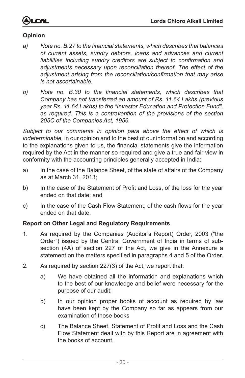

## **Opinion**

- *a) Note no. B.27 to the financial statements, which describes that balances of current assets, sundry debtors, loans and advances and current liabilities including sundry creditors are subject to confirmation and adjustments necessary upon reconciliation thereof. The effect of the adjustment arising from the reconciliation/confirmation that may arise is not ascertainable.*
- *b) Note no. B.30 to the financial statements, which describes that Company has not transferred an amount of Rs. 11.64 Lakhs (previous year Rs. 11.64 Lakhs) to the "Investor Education and Protection Fund", as required. This is a contravention of the provisions of the section 205C of the Companies Act, 1956.*

*Subject to our comments in opinion para above the effect of which is indeterminable,* in our opinion and to the best of our information and according to the explanations given to us, the financial statements give the information required by the Act in the manner so required and give a true and fair view in conformity with the accounting principles generally accepted in India:

- a) In the case of the Balance Sheet, of the state of affairs of the Company as at March 31, 2013;
- b) In the case of the Statement of Profit and Loss, of the loss for the year ended on that date; and
- c) In the case of the Cash Flow Statement, of the cash flows for the year ended on that date.

#### **Report on Other Legal and Regulatory Requirements**

- 1. As required by the Companies (Auditor's Report) Order, 2003 ("the Order") issued by the Central Government of India in terms of subsection (4A) of section 227 of the Act, we give in the Annexure a statement on the matters specified in paragraphs 4 and 5 of the Order.
- 2. As required by section 227(3) of the Act, we report that:
	- a) We have obtained all the information and explanations which to the best of our knowledge and belief were necessary for the purpose of our audit;
	- b) In our opinion proper books of account as required by law have been kept by the Company so far as appears from our examination of those books
	- c) The Balance Sheet, Statement of Profit and Loss and the Cash Flow Statement dealt with by this Report are in agreement with the books of account.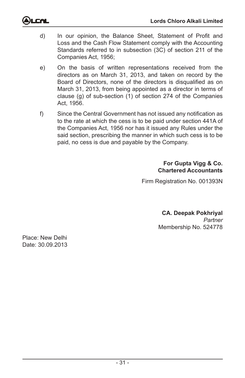- d) In our opinion, the Balance Sheet, Statement of Profit and Loss and the Cash Flow Statement comply with the Accounting Standards referred to in subsection (3C) of section 211 of the Companies Act, 1956;
- e) On the basis of written representations received from the directors as on March 31, 2013, and taken on record by the Board of Directors, none of the directors is disqualified as on March 31, 2013, from being appointed as a director in terms of clause (g) of sub-section (1) of section 274 of the Companies Act, 1956.
- f) Since the Central Government has not issued any notification as to the rate at which the cess is to be paid under section 441A of the Companies Act, 1956 nor has it issued any Rules under the said section, prescribing the manner in which such cess is to be paid, no cess is due and payable by the Company.

**For Gupta Vigg & Co. Chartered Accountants**

Firm Registration No. 001393N

**CA. Deepak Pokhriyal** *Partner* Membership No. 524778

Place: New Delhi Date: 30.09.2013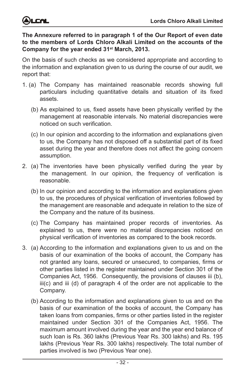**The Annexure referred to in paragraph 1 of the Our Report of even date to the members of Lords Chloro Alkali Limited on the accounts of the Company for the year ended 31st March, 2013.**

On the basis of such checks as we considered appropriate and according to the information and explanation given to us during the course of our audit, we report that:

- 1. (a) The Company has maintained reasonable records showing full particulars including quantitative details and situation of its fixed assets.
	- (b) As explained to us, fixed assets have been physically verified by the management at reasonable intervals. No material discrepancies were noticed on such verification.
	- (c) In our opinion and according to the information and explanations given to us, the Company has not disposed off a substantial part of its fixed asset during the year and therefore does not affect the going concern assumption.
- 2. (a) The inventories have been physically verified during the year by the management. In our opinion, the frequency of verification is reasonable.
	- (b) In our opinion and according to the information and explanations given to us, the procedures of physical verification of inventories followed by the management are reasonable and adequate in relation to the size of the Company and the nature of its business.
	- (c) The Company has maintained proper records of inventories. As explained to us, there were no material discrepancies noticed on physical verification of inventories as compared to the book records.
- 3. (a) According to the information and explanations given to us and on the basis of our examination of the books of account, the Company has not granted any loans, secured or unsecured, to companies, firms or other parties listed in the register maintained under Section 301 of the Companies Act, 1956. Consequently, the provisions of clauses iii (b), iii(c) and iii (d) of paragraph 4 of the order are not applicable to the Company.
	- (b) According to the information and explanations given to us and on the basis of our examination of the books of account, the Company has taken loans from companies, firms or other parties listed in the register maintained under Section 301 of the Companies Act, 1956. The maximum amount involved during the year and the year end balance of such loan is Rs. 360 lakhs (Previous Year Rs. 300 lakhs) and Rs. 195 lakhs (Previous Year Rs. 300 lakhs) respectively. The total number of parties involved is two (Previous Year one).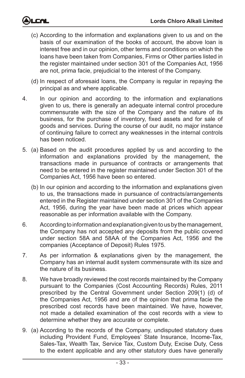

- (c) According to the information and explanations given to us and on the basis of our examination of the books of account, the above loan is interest free and in our opinion, other terms and conditions on which the loans have been taken from Companies, Firms or Other parties listed in the register maintained under section 301 of the Companies Act, 1956 are not, prima facie, prejudicial to the interest of the Company.
- (d) In respect of aforesaid loans, the Company is regular in repaying the principal as and where applicable.
- 4. In our opinion and according to the information and explanations given to us, there is generally an adequate internal control procedure commensurate with the size of the Company and the nature of its business, for the purchase of inventory, fixed assets and for sale of goods and services. During the course of our audit, no major instance of continuing failure to correct any weaknesses in the internal controls has been noticed.
- 5. (a) Based on the audit procedures applied by us and according to the information and explanations provided by the management, the transactions made in pursuance of contracts or arrangements that need to be entered in the register maintained under Section 301 of the Companies Act, 1956 have been so entered.
	- (b) In our opinion and according to the information and explanations given to us, the transactions made in pursuance of contracts/arrangements entered in the Register maintained under section 301 of the Companies Act, 1956, during the year have been made at prices which appear reasonable as per information available with the Company.
- 6. According to information and explanation given to us by the management, the Company has not accepted any deposits from the public covered under section 58A and 58AA of the Companies Act, 1956 and the companies (Acceptance of Deposit) Rules 1975.
- 7. As per information & explanations given by the management, the Company has an internal audit system commensurate with its size and the nature of its business.
- 8. We have broadly reviewed the cost records maintained by the Company pursuant to the Companies (Cost Accounting Records) Rules, 2011 prescribed by the Central Government under Section 209(1) (d) of the Companies Act, 1956 and are of the opinion that prima facie the prescribed cost records have been maintained. We have, however, not made a detailed examination of the cost records with a view to determine whether they are accurate or complete.
- 9. (a) According to the records of the Company, undisputed statutory dues including Provident Fund, Employees' State Insurance, Income-Tax, Sales-Tax, Wealth Tax, Service Tax, Custom Duty, Excise Duty, Cess to the extent applicable and any other statutory dues have generally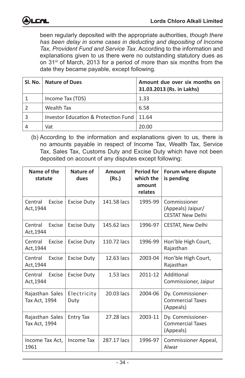been regularly deposited with the appropriate authorities, *though there has been delay in some cases in deducting and depositing of Income Tax, Provident Fund and Service Tax*. According to the information and explanations given to us there were no outstanding statutory dues as on 31<sup>st</sup> of March, 2013 for a period of more than six months from the date they became payable, except following.

| SI. No.   Nature of Dues                     | Amount due over six months on<br>31.03.2013 (Rs. in Lakhs) |
|----------------------------------------------|------------------------------------------------------------|
| Income Tax (TDS)                             | 1.33                                                       |
| Wealth Tax                                   | 6.58                                                       |
| Investor Education & Protection Fund   11.64 |                                                            |
| Vat                                          | 20.00                                                      |

(b) According to the information and explanations given to us, there is no amounts payable in respect of Income Tax, Wealth Tax, Service Tax, Sales Tax, Customs Duty and Excise Duty which have not been deposited on account of any disputes except following:

| Name of the<br>statute                | Nature of<br>dues   | Amount<br>(Rs.) | <b>Period for</b><br>which the<br>amount<br>relates | Forum where dispute<br>is pending                            |
|---------------------------------------|---------------------|-----------------|-----------------------------------------------------|--------------------------------------------------------------|
| Central<br>Excise<br>Act, 1944        | <b>Excise Duty</b>  | 141.58 lacs     | 1995-99                                             | Commissioner<br>(Appeals) Jaipur/<br><b>CESTAT New Delhi</b> |
| Central<br>Excise<br>Act, 1944        | <b>Excise Duty</b>  | 145.62 lacs     | 1996-97                                             | <b>CESTAT, New Delhi</b>                                     |
| Central<br><b>Excise</b><br>Act, 1944 | <b>Excise Duty</b>  | 110.72 lacs     | 1996-99                                             | Hon'ble High Court,<br>Rajasthan                             |
| Central<br><b>Excise</b><br>Act, 1944 | <b>Excise Duty</b>  | 12.63 lacs      | 2003-04                                             | Hon'ble High Court,<br>Rajasthan                             |
| Central<br>Excise<br>Act, 1944        | <b>Excise Duty</b>  | $1.53$ lacs     | 2011-12                                             | Additional<br>Commissioner, Jaipur                           |
| Rajasthan Sales<br>Tax Act, 1994      | Electricity<br>Duty | 20.03 lacs      | 2004-06                                             | Dy. Commissioner-<br><b>Commercial Taxes</b><br>(Appeals)    |
| Rajasthan Sales<br>Tax Act, 1994      | <b>Entry Tax</b>    | 27.28 lacs      | 2003-11                                             | Dy. Commissioner-<br><b>Commercial Taxes</b><br>(Appeals)    |
| Income Tax Act,<br>1961               | Income Tax          | 287.17 lacs     | 1996-97                                             | Commissioner Appeal,<br>Alwar                                |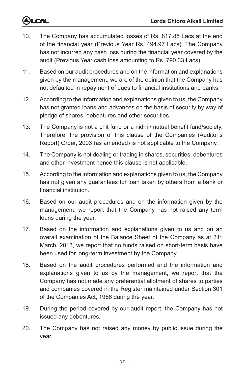10. The Company has accumulated losses of Rs. 817.85 Lacs at the end of the financial year (Previous Year Rs. 494.97 Lacs). The Company has not incurred any cash loss during the financial year covered by the audit (Previous Year cash loss amounting to Rs. 790.33 Lacs).

LCAL

- 11. Based on our audit procedures and on the information and explanations given by the management, we are of the opinion that the Company has not defaulted in repayment of dues to financial institutions and banks.
- 12. According to the information and explanations given to us, the Company has not granted loans and advances on the basis of security by way of pledge of shares, debentures and other securities.
- 13. The Company is not a chit fund or a nidhi /mutual benefit fund/society. Therefore, the provision of this clause of the Companies (Auditor's Report) Order, 2003 (as amended) is not applicable to the Company.
- 14. The Company is not dealing or trading in shares, securities, debentures and other investment hence this clause is not applicable.
- 15. According to the information and explanations given to us, the Company has not given any guarantees for loan taken by others from a bank or financial institution.
- 16. Based on our audit procedures and on the information given by the management, we report that the Company has not raised any term loans during the year.
- 17. Based on the information and explanations given to us and on an overall examination of the Balance Sheet of the Company as at 31<sup>st</sup> March, 2013, we report that no funds raised on short-term basis have been used for long-term investment by the Company.
- 18. Based on the audit procedures performed and the information and explanations given to us by the management, we report that the Company has not made any preferential allotment of shares to parties and companies covered in the Register maintained under Section 301 of the Companies Act, 1956 during the year.
- 19. During the period covered by our audit report, the Company has not issued any debentures.
- 20. The Company has not raised any money by public issue during the year.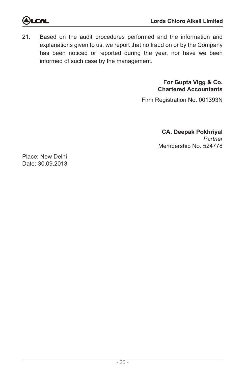21. Based on the audit procedures performed and the information and explanations given to us, we report that no fraud on or by the Company has been noticed or reported during the year, nor have we been informed of such case by the management.

> **For Gupta Vigg & Co. Chartered Accountants**

Firm Registration No. 001393N

**CA. Deepak Pokhriyal** *Partner*

Membership No. 524778

Place: New Delhi Date: 30.09.2013

LCAL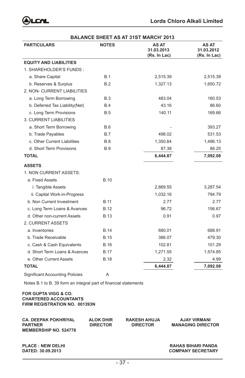

|                                | <b>BALANCE SHEET AS AT 31ST MARCH' 2013</b> |                                     |                                     |  |  |  |  |
|--------------------------------|---------------------------------------------|-------------------------------------|-------------------------------------|--|--|--|--|
| <b>PARTICULARS</b>             | <b>NOTES</b>                                | AS AT<br>31.03.2013<br>(Rs. In Lac) | AS AT<br>31.03.2012<br>(Rs. In Lac) |  |  |  |  |
| <b>EQUITY AND LIABILITIES</b>  |                                             |                                     |                                     |  |  |  |  |
| 1. SHAREHOLDER'S FUNDS:        |                                             |                                     |                                     |  |  |  |  |
| a. Share Capital               | B.1                                         | 2,515.39                            | 2,515.39                            |  |  |  |  |
| b. Reserves & Surplus          | B.2                                         | 1,327.13                            | 1,650.72                            |  |  |  |  |
| 2. NON- CURRENT LIABILITIES    |                                             |                                     |                                     |  |  |  |  |
| a. Long Term Borrowing         | B.3                                         | 483.04                              | 160.53                              |  |  |  |  |
| b. Deferred Tax Liability(Net) | B.4                                         | 43.16                               | 86.60                               |  |  |  |  |
| c. Long Term Provisions        | B.5                                         | 140.11                              | 169.66                              |  |  |  |  |
| 3. CURRENT LIABILITIES         |                                             |                                     |                                     |  |  |  |  |
| a. Short Term Borrowing        | <b>B.6</b>                                  |                                     | 393.27                              |  |  |  |  |
| b. Trade Payables              | B.7                                         | 498.02                              | 531.53                              |  |  |  |  |
| c. Other Current Liabilities   | <b>B.8</b>                                  | 1,350.64                            | 1,496.13                            |  |  |  |  |
| d. Short Term Provisions       | <b>B.9</b>                                  | 87.38                               | 88.25                               |  |  |  |  |
| <b>TOTAL</b>                   |                                             | 6,444.87                            | 7,092.08                            |  |  |  |  |
| <b>ASSETS</b>                  |                                             |                                     |                                     |  |  |  |  |
| 1. NON CURRENT ASSETS:         |                                             |                                     |                                     |  |  |  |  |
| a. Fixed Assets                | <b>B.10</b>                                 |                                     |                                     |  |  |  |  |
| i. Tangible Assets             |                                             | 2,869.55                            | 3,287.54                            |  |  |  |  |
| ii. Capital Work-in-Progress   |                                             | 1,032.16                            | 794.79                              |  |  |  |  |
| b. Non Current Investment      | <b>B.11</b>                                 | 2.77                                | 2.77                                |  |  |  |  |
| c. Long Term Loans & Avances   | <b>B.12</b>                                 | 96.72                               | 156.67                              |  |  |  |  |
| d. Other non-current Assets    | <b>B.13</b>                                 | 0.91                                | 0.97                                |  |  |  |  |
| 2. CURRENT ASSETS              |                                             |                                     |                                     |  |  |  |  |
| a. Inventories                 | <b>B.14</b>                                 | 680.01                              | 688.91                              |  |  |  |  |
| b. Trade Receivable            | <b>B.15</b>                                 | 386.07                              | 479.30                              |  |  |  |  |
| c. Cash & Cash Equivalents     | <b>B.16</b>                                 | 102.81                              | 101.29                              |  |  |  |  |
| d. Short Term Loans & Avances  | <b>B.17</b>                                 | 1,271.55                            | 1,574.85                            |  |  |  |  |
| e. Other Current Assets        | <b>B.18</b>                                 | 2.32                                | 4.99                                |  |  |  |  |
| <b>TOTAL</b>                   |                                             | 6,444.87                            | 7,092.08                            |  |  |  |  |
|                                |                                             |                                     |                                     |  |  |  |  |

Significant Accounting Policies A

Notes B.1 to B. 39 form an integral part of financial statements

#### **FOR GUPTA VIGG & CO. CHARTERED ACCOUNTANTS FIRM REGISTRATION NO. 001393N**

| <b>CA. DEEPAK POKHRIYAL</b><br><b>PARTNER</b><br><b>MEMBERSHIP NO. 524778</b> | <b>ALOK DHIR</b><br><b>DIRECTOR</b> | <b>RAKESH AHUJA</b><br><b>DIRECTOR</b> | <b>AJAY VIRMANI</b><br><b>MANAGING DIRECTOR</b>       |
|-------------------------------------------------------------------------------|-------------------------------------|----------------------------------------|-------------------------------------------------------|
| <b>PLACE: NEW DELHI</b><br>DATED: 30.09.2013                                  |                                     |                                        | <b>RAHAS BIHARI PANDA</b><br><b>COMPANY SECRETARY</b> |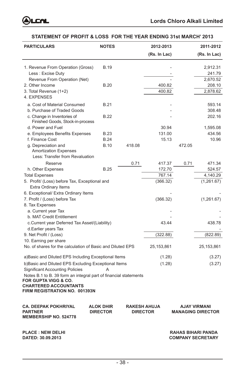

#### **STATEMENT OF PROFIT & LOSS FOR THE YEAR ENDING 31st MARCH' 2013**

| <b>PARTICULARS</b>                                               | <b>NOTES</b>     |                     | 2012-2013    |        | 2011-2012                                             |
|------------------------------------------------------------------|------------------|---------------------|--------------|--------|-------------------------------------------------------|
|                                                                  |                  |                     | (Rs. In Lac) |        | (Rs. In Lac)                                          |
|                                                                  | <b>B.19</b>      |                     |              |        |                                                       |
| 1. Revenue From Operation (Gross)<br>Less: Excise Duty           |                  |                     |              |        | 2,912.31<br>241.79                                    |
| Revenue From Operation (Net)                                     |                  |                     |              |        | 2,670.52                                              |
| 2. Other Income                                                  | <b>B.20</b>      |                     | 400.82       |        | 208.10                                                |
| 3. Total Revenue (1+2)                                           |                  |                     | 400.82       |        | 2,878.62                                              |
| 4. EXPENSES                                                      |                  |                     |              |        |                                                       |
| a. Cost of Material Consumed                                     | <b>B.21</b>      |                     |              |        | 593.14                                                |
| b. Purchase of Traded Goods                                      |                  |                     |              |        | 308.48                                                |
| c. Change in Inventories of<br>Finished Goods, Stock-in-process  | <b>B.22</b>      |                     |              |        | 202.16                                                |
| d. Power and Fuel                                                |                  |                     | 30.94        |        | 1,595.08                                              |
| e. Employees Benefits Expenses                                   | <b>B.23</b>      |                     | 131.00       |        | 434.56                                                |
| f. Finance Cost                                                  | <b>B.24</b>      |                     | 15.13        |        | 10.96                                                 |
| g. Depreciation and<br><b>Amortization Expenses</b>              | <b>B.10</b>      | 418.08              |              | 472.05 |                                                       |
| Less: Transfer from Revaluation                                  |                  |                     |              |        |                                                       |
| Reserve                                                          |                  | 0.71                | 417.37       | 0.71   | 471.34                                                |
| h. Other Expenses                                                | <b>B.25</b>      |                     | 172.70       |        | 524.57                                                |
| <b>Total Expenses</b>                                            |                  |                     | 767.14       |        | 4,140.29                                              |
| 5. Profit/ (Loss) before Tax, Exceptional and                    |                  |                     | (366.32)     |        | (1,261.67)                                            |
| <b>Extra Ordinary Items</b>                                      |                  |                     |              |        |                                                       |
| 6. Exceptional/ Extra Ordinary Items                             |                  |                     |              |        |                                                       |
| 7. Profit / (Loss) before Tax                                    |                  |                     | (366.32)     |        | (1,261.67)                                            |
| 8. Tax Expenses                                                  |                  |                     |              |        |                                                       |
| a. Current year Tax                                              |                  |                     |              |        |                                                       |
| b. MAT Credit Entitlement                                        |                  |                     |              |        |                                                       |
| c.Current year Deferred Tax Asset/(Liability)                    |                  |                     | 43.44        |        | 438.78                                                |
| d. Earlier years Tax                                             |                  |                     |              |        |                                                       |
| 9. Net Profit / (Loss)                                           |                  |                     | (322.88)     |        | (822.89)                                              |
| 10. Earning per share                                            |                  |                     |              |        |                                                       |
| No. of shares for the calculation of Basic and Diluted EPS       |                  |                     | 25, 153, 861 |        | 25,153,861                                            |
| a)Basic and Diluted EPS Including Exceptional Items              |                  |                     | (1.28)       |        | (3.27)                                                |
| b) Basic and Diluted EPS Excluding Exceptional Items             |                  |                     | (1.28)       |        | (3.27)                                                |
| <b>Significant Accounting Policies</b>                           |                  |                     |              |        |                                                       |
| Notes B.1 to B. 39 form an integral part of financial statements |                  |                     |              |        |                                                       |
| <b>FOR GUPTA VIGG &amp; CO.</b>                                  |                  |                     |              |        |                                                       |
| <b>CHARTERED ACCOUNTANTS</b>                                     |                  |                     |              |        |                                                       |
| FIRM REGISTRATION NO. 001393N                                    |                  |                     |              |        |                                                       |
| <b>CA. DEEPAK POKHRIYAL</b>                                      | <b>ALOK DHIR</b> | <b>RAKESH AHUJA</b> |              |        | <b>AJAY VIRMANI</b>                                   |
| <b>PARTNER</b><br><b>MEMBERSHIP NO. 524778</b>                   | <b>DIRECTOR</b>  | <b>DIRECTOR</b>     |              |        | <b>MANAGING DIRECTOR</b>                              |
|                                                                  |                  |                     |              |        |                                                       |
| <b>PLACE : NEW DELHI</b><br>DATED: 30.09.2013                    |                  |                     |              |        | <b>RAHAS BIHARI PANDA</b><br><b>COMPANY SECRETARY</b> |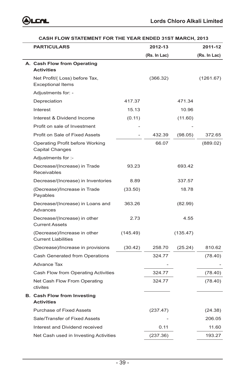| <b>PARTICULARS</b>                                         |          | 2012-13      |          | 2011-12      |
|------------------------------------------------------------|----------|--------------|----------|--------------|
|                                                            |          | (Rs. In Lac) |          | (Rs. In Lac) |
| A. Cash Flow from Operating<br><b>Activities</b>           |          |              |          |              |
| Net Profit/(Loss) before Tax,<br><b>Exceptional Items</b>  |          | (366.32)     |          | (1261.67)    |
| Adjustments for: -                                         |          |              |          |              |
| Depreciation                                               | 417.37   |              | 471.34   |              |
| Interest                                                   | 15.13    |              | 10.96    |              |
| Interest & Dividend Income                                 | (0.11)   |              | (11.60)  |              |
| Profit on sale of Investment                               |          |              |          |              |
| Profit on Sale of Fixed Assets                             |          | 432.39       | (98.05)  | 372.65       |
| Operating Profit before Working<br>Capital Changes         |          | 66.07        |          | (889.02)     |
| Adjustments for :-                                         |          |              |          |              |
| Decrease/(Increase) in Trade<br>Receivables                | 93.23    |              | 693.42   |              |
| Decrease/(Increase) in Inventories                         | 8.89     |              | 337.57   |              |
| (Decrease)/Increase in Trade<br>Payables                   | (33.50)  |              | 18.78    |              |
| Decrease/(Increase) in Loans and<br>Advances               | 363.26   |              | (82.99)  |              |
| Decrease/(Increase) in other<br><b>Current Assets</b>      | 2.73     |              | 4.55     |              |
| (Decrease)/Increase in other<br><b>Current Liabilities</b> | (145.49) |              | (135.47) |              |
| (Decrease)/Increase in provisions                          | (30.42)  | 258.70       | (25.24)  | 810.62       |
| Cash Generated from Operations                             |          | 324.77       |          | (78.40)      |
| Advance Tax                                                |          |              |          |              |
| Cash Flow from Operating Activities                        |          | 324.77       |          | (78.40)      |
| Net Cash Flow From Operating<br>ctivites                   |          | 324.77       |          | (78.40)      |
| <b>B.</b> Cash Flow from Investing<br><b>Activities</b>    |          |              |          |              |
| <b>Purchase of Fixed Assets</b>                            |          | (237.47)     |          | (24.38)      |
| Sale/Transfer of Fixed Assets                              |          |              |          | 206.05       |
| Interest and Dividend received                             |          | 0.11         |          | 11.60        |
| Net Cash used in Investing Activities                      |          | (237.36)     |          | 193.27       |

#### **CASH FLOW STATEMENT FOR THE YEAR ENDED 31ST MARCH, 2013**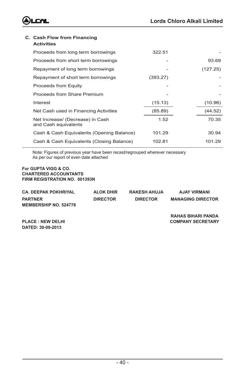| C. Cash Flow from Financing<br><b>Activities</b>         |          |          |
|----------------------------------------------------------|----------|----------|
| Proceeds from long term borrowings                       | 322.51   |          |
| Proceeds from short term borrowings                      |          | 93.69    |
| Repayment of long term borrowings                        |          | (127.25) |
| Repayment of short term borrowings                       | (393.27) |          |
| Proceeds from Equity                                     |          |          |
| Proceeds from Share Premium                              |          |          |
| Interest                                                 | (15.13)  | (10.96)  |
| Net Cash used in Financing Activities                    | (85.89)  | (44.52)  |
| Net Increase/ (Decrease) in Cash<br>and Cash equivalents | 1.52     | 70.35    |
| Cash & Cash Equivalents (Opening Balance)                | 101.29   | 30.94    |
| Cash & Cash Equivalents (Closing Balance)                | 102.81   | 101.29   |
|                                                          |          |          |

Note: Figures of previous year have been recast/regrouped wherever necessary As per our report of even date attached

#### **For GUPTA VIGG & CO. CHARTERED ACCOUNTANTS FIRM REGISTRATION NO. 001393N**

| <b>CA. DEEPAK POKHRIYAL</b>                    | <b>ALOK DHIR</b> | <b>RAKESH AHUJA</b> | <b>AJAY VIRMANI</b>      |
|------------------------------------------------|------------------|---------------------|--------------------------|
| <b>PARTNER</b><br><b>MEMBERSHIP NO. 524778</b> | <b>DIRECTOR</b>  | <b>DIRECTOR</b>     | <b>MANAGING DIRECTOR</b> |

**DATED: 30-09-2013**

**RAHAS BIHARI PANDA PLACE : NEW DELHI COMPANY SECRETARY**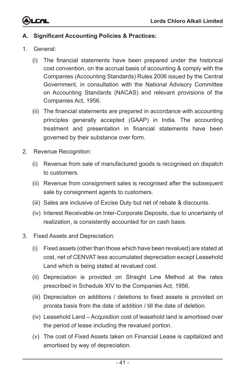

#### **A. Significant Accounting Policies & Practices:**

- 1. General:
	- (i) The financial statements have been prepared under the historical cost convention, on the accrual basis of accounting & comply with the Companies (Accounting Standards) Rules 2006 issued by the Central Government, in consultation with the National Advisory Committee on Accounting Standards (NACAS) and relevant provisions of the Companies Act, 1956.
	- (ii) The financial statements are prepared in accordance with accounting principles generally accepted (GAAP) in India. The accounting treatment and presentation in financial statements have been governed by their substance over form.
- 2. Revenue Recognition:
	- (i) Revenue from sale of manufactured goods is recognised on dispatch to customers.
	- (ii) Revenue from consignment sales is recognised after the subsequent sale by consignment agents to customers.
	- (iii) Sales are inclusive of Excise Duty but net of rebate & discounts.
	- (iv) Interest Receivable on Inter-Corporate Deposits, due to uncertainty of realization, is consistently accounted for on cash basis.
- 3. Fixed Assets and Depreciation:
	- (i) Fixed assets (other than those which have been revalued) are stated at cost, net of CENVAT less accumulated depreciation except Leasehold Land which is being stated at revalued cost.
	- (ii) Depreciation is provided on Straight Line Method at the rates prescribed in Schedule XIV to the Companies Act, 1956.
	- (iii) Depreciation on additions / deletions to fixed assets is provided on prorata basis from the date of addition / till the date of deletion.
	- (iv) Leasehold Land Acquisition cost of leasehold land is amortised over the period of lease including the revalued portion.
	- (v) The cost of Fixed Assets taken on Financial Lease is capitalized and amortised by way of depreciation.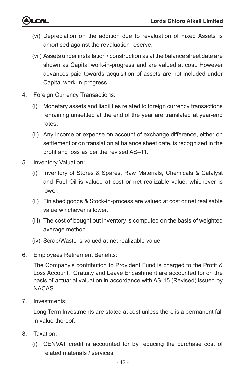- (vi) Depreciation on the addition due to revaluation of Fixed Assets is amortised against the revaluation reserve.
- (vii) Assets under installation / construction as at the balance sheet date are shown as Capital work-in-progress and are valued at cost. However advances paid towards acquisition of assets are not included under Capital work-in-progress.
- 4. Foreign Currency Transactions:
	- (i) Monetary assets and liabilities related to foreign currency transactions remaining unsettled at the end of the year are translated at year-end rates.
	- (ii) Any income or expense on account of exchange difference, either on settlement or on translation at balance sheet date, is recognized in the profit and loss as per the revised AS–11.
- 5. Inventory Valuation:
	- (i) Inventory of Stores & Spares, Raw Materials, Chemicals & Catalyst and Fuel Oil is valued at cost or net realizable value, whichever is lower.
	- (ii) Finished goods & Stock-in-process are valued at cost or net realisable value whichever is lower.
	- (iii) The cost of bought out inventory is computed on the basis of weighted average method.
	- (iv) Scrap/Waste is valued at net realizable value.
- 6. Employees Retirement Benefits:

The Company's contribution to Provident Fund is charged to the Profit & Loss Account. Gratuity and Leave Encashment are accounted for on the basis of actuarial valuation in accordance with AS-15 (Revised) issued by NACAS.

7. Investments:

Long Term Investments are stated at cost unless there is a permanent fall in value thereof.

- 8. Taxation:
	- (i) CENVAT credit is accounted for by reducing the purchase cost of related materials / services.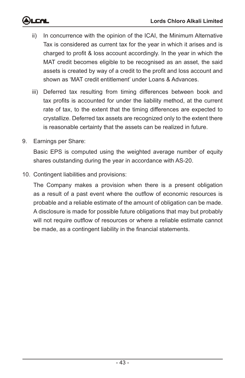- ii) In concurrence with the opinion of the ICAI, the Minimum Alternative Tax is considered as current tax for the year in which it arises and is charged to profit & loss account accordingly. In the year in which the MAT credit becomes eligible to be recognised as an asset, the said assets is created by way of a credit to the profit and loss account and shown as 'MAT credit entitlement' under Loans & Advances.
- iii) Deferred tax resulting from timing differences between book and tax profits is accounted for under the liability method, at the current rate of tax, to the extent that the timing differences are expected to crystallize. Deferred tax assets are recognized only to the extent there is reasonable certainty that the assets can be realized in future.
- 9. Earnings per Share:

Basic EPS is computed using the weighted average number of equity shares outstanding during the year in accordance with AS-20.

10. Contingent liabilities and provisions:

The Company makes a provision when there is a present obligation as a result of a past event where the outflow of economic resources is probable and a reliable estimate of the amount of obligation can be made. A disclosure is made for possible future obligations that may but probably will not require outflow of resources or where a reliable estimate cannot be made, as a contingent liability in the financial statements.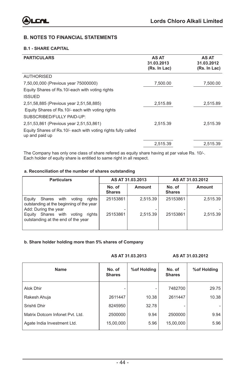#### **B. NOTES TO FINANCIAL STATEMENTS**

#### **B.1 - SHARE CAPITAL**

| <b>PARTICULARS</b>                                                              | <b>AS AT</b><br>31.03.2013<br>(Rs. In Lac) | <b>AS AT</b><br>31.03.2012<br>(Rs. In Lac) |
|---------------------------------------------------------------------------------|--------------------------------------------|--------------------------------------------|
| <b>AUTHORISED</b>                                                               |                                            |                                            |
| 7,50,00,000 (Previous year 75000000)                                            | 7,500.00                                   | 7,500.00                                   |
| Equity Shares of Rs.10/-each with voting rights                                 |                                            |                                            |
| <b>ISSUED</b>                                                                   |                                            |                                            |
| 2,51,58,885 (Previous year 2,51,58,885)                                         | 2,515.89                                   | 2,515.89                                   |
| Equity Shares of Rs.10/- each with voting rights                                |                                            |                                            |
| SUBSCRIBED/FULLY PAID-UP:                                                       |                                            |                                            |
| 2,51,53,861 (Previous year 2,51,53,861)                                         | 2.515.39                                   | 2,515.39                                   |
| Equity Shares of Rs.10/- each with voting rights fully called<br>up and paid up |                                            |                                            |
|                                                                                 | 2.515.39                                   | 2.515.39                                   |

The Company has only one class of share refered as equity share having at par value Rs. 10/-. Each holder of equity share is entitled to same right in all respect.

#### **a. Reconciliation of the number of shares outstanding**

| <b>Particulars</b>                                                                                               |                         | AS AT 31.03.2013 |                         | AS AT 31.03.2012 |
|------------------------------------------------------------------------------------------------------------------|-------------------------|------------------|-------------------------|------------------|
|                                                                                                                  | No. of<br><b>Shares</b> | <b>Amount</b>    | No. of<br><b>Shares</b> | Amount           |
| rights<br>with<br>Shares<br>voting<br>Equity<br>outstanding at the beginning of the year<br>Add: During the year | 25153861                | 2.515.39         | 25153861                | 2,515.39         |
| Shares with<br>rights<br>voting<br>Equity<br>outstanding at the end of the year                                  | 25153861                | 2,515.39         | 25153861                | 2,515.39         |

#### **b. Share holder holding more than 5% shares of Company**

#### **AS AT 31.03.2013 AS AT 31.03.2012**

| Name                            | No. of<br><b>Shares</b> | %of Holding | No. of<br><b>Shares</b> | %of Holding |
|---------------------------------|-------------------------|-------------|-------------------------|-------------|
| Alok Dhir                       |                         |             | 7482700                 | 29.75       |
| Rakesh Ahuja                    | 2611447                 | 10.38       | 2611447                 | 10.38       |
| Srishti Dhir                    | 8245950                 | 32.78       | ۰                       |             |
| Matrix Dotcom Infonet Pvt. Ltd. | 2500000                 | 9.94        | 2500000                 | 9.94        |
| Agate India Investment Ltd.     | 15,00,000               | 5.96        | 15,00,000               | 5.96        |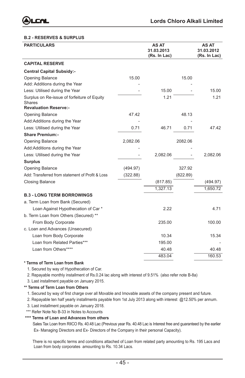

#### **B.2 - RESERVES & SURPLUS**

| <b>PARTICULARS</b>                                    |          | AS AT<br>31.03.2013<br>(Rs. In Lac) |          | AS AT<br>31.03.2012<br>(Rs. In Lac) |
|-------------------------------------------------------|----------|-------------------------------------|----------|-------------------------------------|
| <b>CAPITAL RESERVE</b>                                |          |                                     |          |                                     |
| <b>Central Capital Subsidy:-</b>                      |          |                                     |          |                                     |
| Opening Balance                                       | 15.00    |                                     | 15.00    |                                     |
| Add: Additions during the Year                        |          |                                     |          |                                     |
| Less: Utilised during the Year                        |          | 15.00                               |          | 15.00                               |
| Surplus on Re-issue of forfeiture of Equity<br>Shares |          | 1.21                                |          | 1.21                                |
| <b>Revaluation Reserve:-</b>                          |          |                                     |          |                                     |
| <b>Opening Balance</b>                                | 47.42    |                                     | 48.13    |                                     |
| Add:Additions during the Year                         |          |                                     |          |                                     |
| Less: Utilised during the Year                        | 0.71     | 46.71                               | 0.71     | 47.42                               |
| <b>Share Premium:-</b>                                |          |                                     |          |                                     |
| <b>Opening Balance</b>                                | 2,082.06 |                                     | 2082.06  |                                     |
| Add:Additions during the Year                         |          |                                     |          |                                     |
| Less: Utilised during the Year                        |          | 2.082.06                            |          | 2,082.06                            |
| <b>Surplus</b>                                        |          |                                     |          |                                     |
| <b>Opening Balance</b>                                | (494.97) |                                     | 327.92   |                                     |
| Add: Transferred from statement of Profit & Loss      | (322.88) |                                     | (822.89) |                                     |
| <b>Closing Balance</b>                                |          | (817.85)                            |          | (494.97)                            |
|                                                       |          | 1,327.13                            |          | 1,650.72                            |
| <b>B.3 - LONG TERM BORROWINGS</b>                     |          |                                     |          |                                     |
| a. Term Loan from Bank (Secured)                      |          |                                     |          |                                     |
| Loan Against Hypothecation of Car *                   |          | 2.22                                |          | 4.71                                |
| b. Term Loan from Others (Secured) **                 |          |                                     |          |                                     |
| From Body Corporate                                   |          | 235.00                              |          | 100.00                              |
| c. Loan and Advances (Unsecured)                      |          |                                     |          |                                     |
| Loan from Body Corporate                              |          | 10.34                               |          | 15.34                               |
| Loan from Related Parties***                          |          | 195.00                              |          |                                     |
| Loan from Others****                                  |          | 40.48                               |          | 40.48                               |
|                                                       |          | 483.04                              |          | 160.53                              |

#### **\* Terms of Term Loan from Bank**

1. Secured by way of Hypothecation of Car.

2. Repayable monthly installment of Rs.0.24 lac along with interest of 9.51% (also refer note B-8a)

3. Last installment payable on January 2015.

**\*\* Terms of Term Loan from Others**

1. Secured by way of first charge over all Movable and Imovable assets of the company present and future.

2. Repayable ten half yearly installments payable from 1st July 2013 along with interest @12.50% per annum.

3. Last installment payable on January 2018.

\*\*\* Refer Note No B-33 in Notes to Accounts

#### **\*\*\*\* Terms of Loan and Advances from others**

 Sales Tax Loan from RIICO Rs. 40.48 Lac (Previous year Rs. 40.48 Lac is Interest free and guaranteed by the earlier Ex- Managing Directors and Ex- Directors of the Company in their personal Capacity).

 There is no specific terms and conditions attached of Loan from related party amounting to Rs. 195 Lacs and Loan from body corporates amounting to Rs. 10.34 Lacs.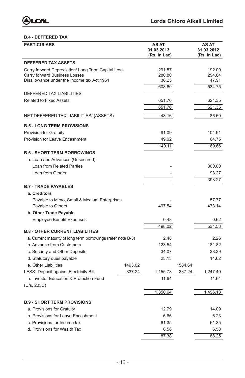#### **B.4 - DEFFERED TAX**

| <b>PARTICULARS</b>                                                                                                                 |         | AS AT<br>31.03.2013<br>(Rs. In Lac) |         | AS AT<br>31.03.2012<br>(Rs. In Lac) |
|------------------------------------------------------------------------------------------------------------------------------------|---------|-------------------------------------|---------|-------------------------------------|
| <b>DEFFERED TAX ASSETS</b>                                                                                                         |         |                                     |         |                                     |
| Carry forward Depreciation/ Long Term Capital Loss<br>Carry forward Business Losses<br>Disallowance under the Income tax Act, 1961 |         | 291.57<br>280.80<br>36.23           |         | 192.00<br>294.84<br>47.91           |
|                                                                                                                                    |         | 608.60                              |         | 534.75                              |
| <b>DEFFERED TAX LIABILITIES</b><br><b>Related to Fixed Assets</b>                                                                  |         | 651.76                              |         | 621.35                              |
|                                                                                                                                    |         | 651.76                              |         | 621.35                              |
| NET DEFFERED TAX LIABILITIES/ (ASSETS)                                                                                             |         | 43.16                               |         | 86.60                               |
| <b>B.5 - LONG TERM PROVISIONS</b>                                                                                                  |         |                                     |         |                                     |
| <b>Provision for Gratuity</b>                                                                                                      |         | 91.09                               |         | 104.91                              |
| Provision for Leave Encashment                                                                                                     |         | 49.02                               |         | 64.75                               |
|                                                                                                                                    |         | 140.11                              |         | 169.66                              |
| <b>B.6 - SHORT TERM BORROWINGS</b>                                                                                                 |         |                                     |         |                                     |
| a. Loan and Advances (Unsecured)                                                                                                   |         |                                     |         |                                     |
| Loan from Related Parties                                                                                                          |         |                                     |         | 300.00                              |
| Loan from Others                                                                                                                   |         |                                     |         | 93.27                               |
|                                                                                                                                    |         |                                     |         | 393.27                              |
| <b>B.7 - TRADE PAYABLES</b>                                                                                                        |         |                                     |         |                                     |
| a. Creditors                                                                                                                       |         |                                     |         |                                     |
| Payable to Micro, Small & Medium Enterprises                                                                                       |         |                                     |         | 57.77                               |
| Payable to Others                                                                                                                  |         | 497.54                              |         | 473.14                              |
| b. Other Trade Payable                                                                                                             |         |                                     |         |                                     |
| <b>Employee Benefit Expenses</b>                                                                                                   |         | 0.48<br>498.02                      |         | 0.62<br>531.53                      |
| <b>B.8 - OTHER CURRENT LIABILITIES</b>                                                                                             |         |                                     |         |                                     |
| a. Current maturity of long term borrowings (refer note B-3)                                                                       |         | 2.48                                |         | 2.26                                |
| b. Advance from Customers                                                                                                          |         | 123.54                              |         | 181.82                              |
| c. Security and Other Deposits                                                                                                     |         | 34.07                               |         | 38.39                               |
| d. Statutory dues payable                                                                                                          |         | 23.13                               |         | 14.62                               |
| e. Other Liabilities                                                                                                               | 1493.02 |                                     | 1584.64 |                                     |
| <b>LESS: Deposit against Electricity Bill</b>                                                                                      | 337.24  | 1,155.78                            | 337.24  | 1,247.40                            |
| h. Investor Education & Protection Fund                                                                                            |         | 11.64                               |         | 11.64                               |
| (U/s. 205C)                                                                                                                        |         |                                     |         |                                     |
|                                                                                                                                    |         | 1,350.64                            |         | 1,496.13                            |
| <b>B.9 - SHORT TERM PROVISIONS</b>                                                                                                 |         |                                     |         |                                     |
| a. Provisions for Gratuity                                                                                                         |         | 12.79                               |         | 14.09                               |
| b. Provisions for Leave Encashment                                                                                                 |         | 6.66                                |         | 6.23                                |
| c. Provisions for Income tax                                                                                                       |         | 61.35                               |         | 61.35                               |
| d. Provisions for Wealth Tax                                                                                                       |         | 6.58                                |         | 6.58                                |
|                                                                                                                                    |         | 87.38                               |         | 88.25                               |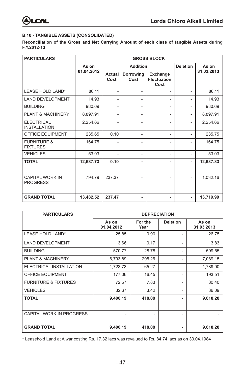

#### **B.10 - TANGIBLE ASSETS (CONSOLIDATED)**

**Reconciliation of the Gross and Net Carrying Amount of each class of tangible Assets during F.Y.2012-13**

| <b>PARTICULARS</b>                        | <b>GROSS BLOCK</b> |                |                          |                                        |                 |            |
|-------------------------------------------|--------------------|----------------|--------------------------|----------------------------------------|-----------------|------------|
|                                           | As on              |                | <b>Addition</b>          |                                        | <b>Deletion</b> | As on      |
|                                           | 01.04.2012         | Actual<br>Cost | <b>Borrowing</b><br>Cost | Exchange<br><b>Fluctuation</b><br>Cost |                 | 31.03.2013 |
| LEASE HOLD LAND*                          | 86.11              | ٠              | ۰                        | ٠                                      | ٠               | 86.11      |
| <b>LAND DEVELOPMENT</b>                   | 14.93              | ٠              | ۰                        | ٠                                      | ۰               | 14.93      |
| <b>BUILDING</b>                           | 980.69             | ۰              | ۰                        | ٠                                      | ۰               | 980.69     |
| PLANT & MACHINERY                         | 8,897.91           | ٠              | ۰                        | ٠                                      | ٠               | 8,897.91   |
| <b>ELECTRICAL</b><br><b>INSTALLATION</b>  | 2.254.66           | ٠              | ۰                        | ٠                                      |                 | 2,254.66   |
| OFFICE EQUIPMENT                          | 235.65             | 0.10           | ٠                        | ٠                                      | ٠               | 235.75     |
| <b>FURNITURE &amp;</b><br><b>FIXTURES</b> | 164.75             |                |                          | ٠                                      |                 | 164.75     |
| <b>VEHICLES</b>                           | 53.03              |                | ٠                        | ٠                                      | ٠               | 53.03      |
| <b>TOTAL</b>                              | 12,687.73          | 0.10           | ٠                        | ۰                                      |                 | 12,687.83  |
|                                           |                    |                |                          |                                        |                 |            |
| <b>CAPITAL WORK IN</b><br><b>PROGRESS</b> | 794.79             | 237.37         | ٠                        | ٠                                      |                 | 1,032.16   |
|                                           |                    |                |                          |                                        |                 |            |
| <b>GRAND TOTAL</b>                        | 13,482.52          | 237.47         | ۰                        | ٠                                      |                 | 13,719.99  |

| <b>PARTICULARS</b>              | <b>DEPRECIATION</b> |                 |                 |                     |  |  |
|---------------------------------|---------------------|-----------------|-----------------|---------------------|--|--|
|                                 | As on<br>01.04.2012 | For the<br>Year | <b>Deletion</b> | As on<br>31.03.2013 |  |  |
| LEASE HOLD LAND*                | 25.85               | 0.90            | ۰               | 26.75               |  |  |
| <b>LAND DEVELOPMENT</b>         | 3.66                | 0.17            | ۰               | 3.83                |  |  |
| <b>BUILDING</b>                 | 570.77              | 28.78           | ۰               | 599.55              |  |  |
| PLANT & MACHINERY               | 6,793.89            | 295.26          | ۰               | 7,089.15            |  |  |
| ELECTRICAL INSTALLATION         | 1,723.73            | 65.27           | ٠               | 1,789.00            |  |  |
| OFFICE EQUIPMENT                | 177.06              | 16.45           | ٠               | 193.51              |  |  |
| <b>FURNITURE &amp; FIXTURES</b> | 72.57               | 7.83            | ۰               | 80.40               |  |  |
| <b>VEHICLES</b>                 | 32.67               | 3.42            | ۰               | 36.09               |  |  |
| <b>TOTAL</b>                    | 9,400.19            | 418.08          | ٠               | 9,818.28            |  |  |
|                                 |                     |                 |                 |                     |  |  |
| CAPITAL WORK IN PROGRESS        | ٠                   | ٠               | ٠               |                     |  |  |
|                                 |                     |                 |                 |                     |  |  |
| <b>GRAND TOTAL</b>              | 9,400.19            | 418.08          | ٠               | 9,818.28            |  |  |

\* Leasehold Land at Alwar costing Rs. 17.32 lacs was revalued to Rs. 84.74 lacs as on 30.04.1984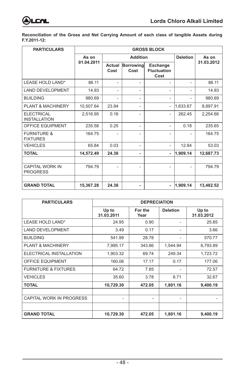

**Reconciliation of the Gross and Net Carrying Amount of each class of tangible Assets during F.Y.2011-12:**

| <b>PARTICULARS</b>                        | <b>GROSS BLOCK</b> |                 |                          |                                        |          |            |
|-------------------------------------------|--------------------|-----------------|--------------------------|----------------------------------------|----------|------------|
|                                           | As on              | <b>Addition</b> |                          | <b>Deletion</b>                        | As on    |            |
|                                           | 01.04.2011         | Actual<br>Cost  | <b>Borrowing</b><br>Cost | Exchange<br><b>Fluctuation</b><br>Cost |          | 31.03.2012 |
| LEASE HOLD LAND*                          | 86.11              |                 | ۰                        | ٠                                      |          | 86.11      |
| <b>LAND DEVELOPMENT</b>                   | 14.93              | ٠               | -                        | ۰                                      | ٠        | 14.93      |
| <b>BUILDING</b>                           | 980.69             |                 | $\overline{\phantom{0}}$ | ٠                                      |          | 980.69     |
| <b>PLANT &amp; MACHINERY</b>              | 10,507.64          | 23.94           | ۰                        | $\overline{a}$                         | 1,633.67 | 8,897.91   |
| <b>ELECTRICAL</b><br><b>INSTALLATION</b>  | 2,516.95           | 0.16            |                          | $\overline{a}$                         | 262.45   | 2,254.66   |
| <b>OFFICE EQUIPMENT</b>                   | 235.58             | 0.25            | -                        | ٠                                      | 0.18     | 235.65     |
| <b>FURNITURE &amp;</b><br><b>FIXTURES</b> | 164.75             |                 | ۰                        | ۰                                      |          | 164.75     |
| <b>VEHICLES</b>                           | 65.84              | 0.03            | ۰                        | ۰                                      | 12.84    | 53.03      |
| <b>TOTAL</b>                              | 14,572.49          | 24.38           | ٠                        | ä,                                     | 1,909.14 | 12,687.73  |
|                                           |                    |                 |                          |                                        |          |            |
| <b>CAPITAL WORK IN</b><br><b>PROGRESS</b> | 794.79             |                 | ۰                        |                                        |          | 794.79     |
|                                           |                    |                 |                          |                                        |          |            |
| <b>GRAND TOTAL</b>                        | 15,367.28          | 24.38           | ٠                        | ä,                                     | 1,909.14 | 13,482.52  |

| <b>PARTICULARS</b>              | <b>DEPRECIATION</b> |                 |                 |                     |  |  |  |
|---------------------------------|---------------------|-----------------|-----------------|---------------------|--|--|--|
|                                 | Up to<br>31.03.2011 | For the<br>Year | <b>Deletion</b> | Up to<br>31.03.2012 |  |  |  |
| LEASE HOLD LAND*                | 24.95               | 0.90            |                 | 25.85               |  |  |  |
| <b>LAND DEVELOPMENT</b>         | 3.49                | 0.17            |                 | 3.66                |  |  |  |
| <b>BUILDING</b>                 | 541.99              | 28.78           | ٠               | 570.77              |  |  |  |
| <b>PLANT &amp; MACHINERY</b>    | 7,995.17            | 343.66          | 1,544.94        | 6,793.89            |  |  |  |
| ELECTRICAL INSTALLATION         | 1,903.32            | 69.74           | 249.34          | 1,723.72            |  |  |  |
| <b>OFFICE EQUIPMENT</b>         | 160.06              | 17.17           | 0.17            | 177.06              |  |  |  |
| <b>FURNITURE &amp; FIXTURES</b> | 64.72               | 7.85            | ۰               | 72.57               |  |  |  |
| <b>VEHICLES</b>                 | 35.60               | 3.78            | 6.71            | 32.67               |  |  |  |
| <b>TOTAL</b>                    | 10,729.30           | 472.05          | 1,801.16        | 9,400.19            |  |  |  |
|                                 |                     |                 |                 |                     |  |  |  |
| CAPITAL WORK IN PROGRESS        | ۰                   | ۰               |                 |                     |  |  |  |
| <b>GRAND TOTAL</b>              | 10,729.30           | 472.05          | 1.801.16        | 9.400.19            |  |  |  |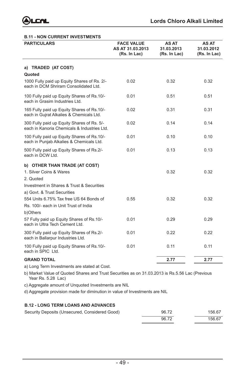

#### **B.11 - NON CURRENT INVESTMENTS**

| <b>PARTICULARS</b>                                                                                                          | <b>FACE VALUE</b><br>AS AT 31.03.2013<br>(Rs. In Lac) | <b>AS AT</b><br>31.03.2013<br>(Rs. In Lac) | <b>AS AT</b><br>31.03.2012<br>(Rs. In Lac) |
|-----------------------------------------------------------------------------------------------------------------------------|-------------------------------------------------------|--------------------------------------------|--------------------------------------------|
| a) TRADED (AT COST)<br>Quoted                                                                                               |                                                       |                                            |                                            |
| 1000 Fully paid up Equity Shares of Rs. 2/-<br>each in DCM Shriram Consolidated Ltd.                                        | 0.02                                                  | 0.32                                       | 0.32                                       |
| 100 Fully paid up Equity Shares of Rs.10/-<br>each in Grasim Industries Ltd.                                                | 0.01                                                  | 0.51                                       | 0.51                                       |
| 165 Fully paid up Equity Shares of Rs.10/-<br>each in Gujrat Alkalies & Chemicals Ltd.                                      | 0.02                                                  | 0.31                                       | 0.31                                       |
| 300 Fully paid up Equity Shares of Rs. 5/-<br>each in Kanoria Chemicals & Industries Ltd.                                   | 0.02                                                  | 0.14                                       | 0.14                                       |
| 100 Fully paid up Equity Shares of Rs.10/-<br>each in Punjab Alkalies & Chemicals Ltd.                                      | 0.01                                                  | 0.10                                       | 0.10                                       |
| 500 Fully paid up Equity Shares of Rs.2/-<br>each in DCW Ltd.                                                               | 0.01                                                  | 0.13                                       | 0.13                                       |
| b) OTHER THAN TRADE (AT COST)<br>1. Silver Coins & Wares<br>2. Quoted<br>Investment in Shares & Trust & Securities          |                                                       | 0.32                                       | 0.32                                       |
| a) Govt. & Trust Securities<br>554 Units 6.75% Tax free US 64 Bonds of<br>Rs. 100/- each in Unit Trust of India<br>b)Others | 0.55                                                  | 0.32                                       | 0.32                                       |
| 57 Fully paid up Equity Shares of Rs.10/-<br>each in Ultra Tech Cement Ltd.                                                 | 0.01                                                  | 0.29                                       | 0.29                                       |
| 300 Fully paid up Equity Shares of Rs.2/-<br>each in Ballarpur Industries Ltd.                                              | 0.01                                                  | 0.22                                       | 0.22                                       |
| 100 Fully paid up Equity Shares of Rs.10/-<br>each in SPIC Ltd.                                                             | 0.01                                                  | 0.11                                       | 0.11                                       |
| <b>GRAND TOTAL</b>                                                                                                          |                                                       | 2.77                                       | 2.77                                       |

a) Long Term Investments are stated at Cost.

b) Market Value of Quoted Shares and Trust Securities as on 31.03.2013 is Rs.5.56 Lac (Previous Year Rs. 5.28 Lac)

c) Aggregate amount of Unquoted Investments are NIL

d) Aggregate provision made for diminution in value of Investments are NIL

#### **B.12 - LONG TERM LOANS AND ADVANCES**

| Security Deposits (Unsecured, Considered Good) | 96.72 | 156.67 |
|------------------------------------------------|-------|--------|
|                                                | 96.72 | 156.67 |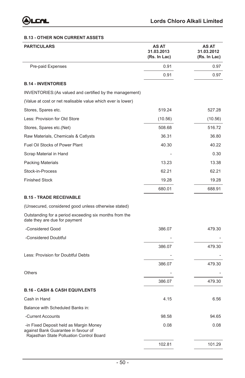

#### **B.13 - OTHER NON CURRENT ASSETS**

| <b>PARTICULARS</b>                                                                                                        | AS AT<br>31.03.2013<br>(Rs. In Lac) | AS AT<br>31.03.2012<br>(Rs. In Lac) |
|---------------------------------------------------------------------------------------------------------------------------|-------------------------------------|-------------------------------------|
| Pre-paid Expenses                                                                                                         | 0.91                                | 0.97                                |
|                                                                                                                           | 0.91                                | 0.97                                |
| <b>B.14 - INVENTORIES</b>                                                                                                 |                                     |                                     |
| INVENTORIES: (As valued and certified by the management)                                                                  |                                     |                                     |
| (Value at cost or net realisable value which ever is lower)                                                               |                                     |                                     |
| Stores, Spares etc.                                                                                                       | 519.24                              | 527.28                              |
| Less: Provision for Old Store                                                                                             | (10.56)                             | (10.56)                             |
| Stores, Spares etc.(Net)                                                                                                  | 508.68                              | 516.72                              |
| Raw Materials, Chemicals & Catlysts                                                                                       | 36.31                               | 36.80                               |
| Fuel Oil Stocks of Power Plant                                                                                            | 40.30                               | 40.22                               |
| Scrap Material in Hand                                                                                                    |                                     | 0.30                                |
| <b>Packing Materials</b>                                                                                                  | 13.23                               | 13.38                               |
| Stock-in-Process                                                                                                          | 62.21                               | 62.21                               |
| <b>Finished Stock</b>                                                                                                     | 19.28                               | 19.28                               |
|                                                                                                                           | 680.01                              | 688.91                              |
| <b>B.15 - TRADE RECEIVABLE</b>                                                                                            |                                     |                                     |
| (Unsecured, considered good unless otherwise stated)                                                                      |                                     |                                     |
| Outstanding for a period exceeding six months from the<br>date they are due for payment                                   |                                     |                                     |
| -Considered Good                                                                                                          | 386.07                              | 479.30                              |
| -Considered Doubtful                                                                                                      |                                     |                                     |
|                                                                                                                           | 386.07                              | 479.30                              |
| Less: Provision for Doubtful Debts                                                                                        |                                     |                                     |
|                                                                                                                           | 386.07                              | 479.30                              |
| <b>Others</b>                                                                                                             |                                     |                                     |
|                                                                                                                           | 386.07                              | 479.30                              |
| <b>B.16 - CASH &amp; CASH EQUIVLENTS</b>                                                                                  |                                     |                                     |
| Cash in Hand                                                                                                              | 4.15                                | 6.56                                |
| Balance with Scheduled Banks in:                                                                                          |                                     |                                     |
| -Current Accounts                                                                                                         | 98.58                               | 94.65                               |
| -in Fixed Deposit held as Margin Money<br>against Bank Guarantee in favour of<br>Rajasthan State Polluation Control Board | 0.08                                | 0.08                                |
|                                                                                                                           | 102.81                              | 101.29                              |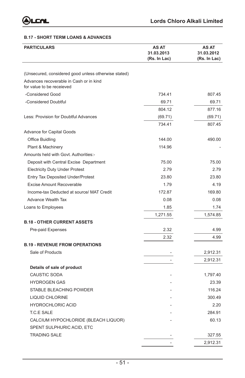#### **B.17 - SHORT TERM LOANS & ADVANCES**

| <b>PARTICULARS</b>                                                   | AS AT<br>31.03.2013<br>(Rs. In Lac) | AS AT<br>31.03.2012<br>(Rs. In Lac) |
|----------------------------------------------------------------------|-------------------------------------|-------------------------------------|
|                                                                      |                                     |                                     |
| (Unsecured, considered good unless otherwise stated)                 |                                     |                                     |
| Advances recoverable in Cash or in kind<br>for value to be receieved |                                     |                                     |
| -Considered Good                                                     | 734.41                              | 807.45                              |
| -Considered Doubtful                                                 | 69.71                               | 69.71                               |
|                                                                      | 804.12                              | 877.16                              |
| Less: Provision for Doubtful Advances                                | (69.71)                             | (69.71)                             |
|                                                                      | 734.41                              | 807.45                              |
| Advance for Capital Goods                                            |                                     |                                     |
| Office Buidling                                                      | 144.00                              | 490.00                              |
| Plant & Machinery                                                    | 114.96                              |                                     |
| Amounts held with Govt. Authorities:-                                |                                     |                                     |
| Deposit with Central Excise Department                               | 75.00                               | 75.00                               |
| <b>Electricity Duty Under Protest</b>                                | 2.79                                | 2.79                                |
| Entry Tax Deposited Under/Protest                                    | 23.80                               | 23.80                               |
| <b>Excise Amount Recoverable</b>                                     | 1.79                                | 4.19                                |
| Income-tax Deducted at source/ MAT Credit                            | 172.87                              | 169.80                              |
| <b>Advance Wealth Tax</b>                                            | 0.08                                | 0.08                                |
| Loans to Employees                                                   | 1.85                                | 1.74                                |
|                                                                      | 1,271.55                            | 1,574.85                            |
| <b>B.18 - OTHER CURRENT ASSETS</b>                                   |                                     |                                     |
| Pre-paid Expenses                                                    | 2.32                                | 4.99                                |
|                                                                      | 2.32                                | 4.99                                |
| <b>B.19 - REVENUE FROM OPERATIONS</b>                                |                                     |                                     |
| Sale of Products                                                     |                                     | 2,912.31                            |
|                                                                      |                                     | 2,912.31                            |
| Details of sale of product                                           |                                     |                                     |
| <b>CAUSTIC SODA</b>                                                  |                                     | 1,797.40                            |
| <b>HYDROGEN GAS</b>                                                  |                                     | 23.39                               |
| STABLE BLEACHING POWDER                                              |                                     | 116.24                              |
| <b>LIQUID CHLORINE</b>                                               |                                     | 300.49                              |
| <b>HYDROCHLORIC ACID</b>                                             |                                     | 2.20                                |
| T.C.E SALE                                                           |                                     | 284.91                              |
| CALCIUM HYPOCHLORIDE (BLEACH LIQUOR)                                 |                                     | 60.13                               |
| SPENT SULPHURIC ACID, ETC                                            |                                     |                                     |
| <b>TRADING SALE</b>                                                  |                                     | 327.55                              |
|                                                                      |                                     | 2,912.31                            |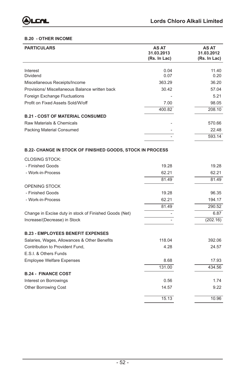ł,

#### **B.20 - OTHER INCOME**

| <b>PARTICULARS</b>                                               | AS AT<br>31.03.2013<br>(Rs. In Lac) | AS AT<br>31.03.2012<br>(Rs. In Lac) |
|------------------------------------------------------------------|-------------------------------------|-------------------------------------|
|                                                                  |                                     |                                     |
| Interest                                                         | 0.04                                | 11.40                               |
| Dividend                                                         | 0.07                                | 0.20                                |
| Miscellaneous Receipts/Income                                    | 363.29                              | 36.20                               |
| Provisions/ Miscellaneous Balance written back                   | 30.42                               | 57.04                               |
| <b>Foreign Exchange Fluctuations</b>                             |                                     | 5.21                                |
| Profit on Fixed Assets Sold/W/off                                | 7.00                                | 98.05                               |
|                                                                  | 400.82                              | 208.10                              |
| <b>B.21 - COST OF MATERIAL CONSUMED</b>                          |                                     |                                     |
| Raw Materials & Chemicals                                        |                                     | 570.66                              |
| Packing Material Consumed                                        |                                     | 22.48                               |
|                                                                  |                                     | 593.14                              |
| <b>B.22- CHANGE IN STOCK OF FINISHED GOODS, STOCK IN PROCESS</b> |                                     |                                     |
| <b>CLOSING STOCK:</b>                                            |                                     |                                     |
| - Finished Goods                                                 | 19.28                               | 19.28                               |
| - Work-in-Process                                                | 62.21                               | 62.21                               |
|                                                                  | 81.49                               | 81.49                               |
| <b>OPENING STOCK</b>                                             |                                     |                                     |
| - Finished Goods                                                 | 19.28                               | 96.35                               |
| - Work-in-Process                                                | 62.21                               | 194.17                              |
|                                                                  | 81.49                               | 290.52                              |
| Change in Excise duty in stock of Finished Goods (Net)           |                                     | 6.87                                |
| Increase/(Decrease) in Stock                                     |                                     | (202.16)                            |
|                                                                  |                                     |                                     |
| <b>B.23 - EMPLOYEES BENEFIT EXPENSES</b>                         |                                     |                                     |
| Salaries, Wages, Allowances & Other Benefits                     | 118.04                              | 392.06                              |
| Contribution to Provident Fund,                                  | 4.28                                | 24.57                               |
| E.S.I. & Others Funds                                            |                                     |                                     |
| <b>Employee Welfare Expenses</b>                                 | 8.68                                | 17.93                               |
|                                                                  | 131.00                              | 434.56                              |
| <b>B.24 - FINANCE COST</b>                                       |                                     |                                     |
| Interest on Borrowings                                           | 0.56                                | 1.74                                |
| <b>Other Borrowing Cost</b>                                      | 14.57                               | 9.22                                |
|                                                                  | 15.13                               | 10.96                               |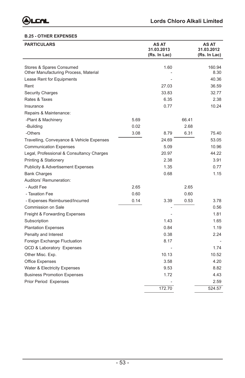

#### **B.25 - OTHER EXPENSES**

| <b>PARTICULARS</b>                                                |      | AS AT<br>31.03.2013<br>(Rs. In Lac) |       | AS AT<br>31.03.2012<br>(Rs. In Lac) |
|-------------------------------------------------------------------|------|-------------------------------------|-------|-------------------------------------|
|                                                                   |      |                                     |       |                                     |
| Stores & Spares Consumed<br>Other Manufacturing Process, Material |      | 1.60                                |       | 160.94<br>8.30                      |
| Lease Rent for Equipments                                         |      |                                     |       | 40.36                               |
|                                                                   |      | 27.03                               |       | 36.59                               |
| Rent                                                              |      | 33.83                               |       | 32.77                               |
| <b>Security Charges</b><br>Rates & Taxes                          |      | 6.35                                |       | 2.38                                |
|                                                                   |      | 0.77                                |       | 10.24                               |
| Insurance                                                         |      |                                     |       |                                     |
| Repairs & Maintenance:                                            | 5.69 |                                     | 66.41 |                                     |
| -Plant & Machinery                                                |      |                                     |       |                                     |
| -Building                                                         | 0.02 |                                     | 2.68  |                                     |
| -Others                                                           | 3.08 | 8.79                                | 6.31  | 75.40                               |
| Travelling, Conveyance & Vehicle Expenses                         |      | 24.69                               |       | 53.05                               |
| <b>Communication Expenses</b>                                     |      | 5.09                                |       | 10.96                               |
| Legal, Professional & Consultancy Charges                         |      | 20.97                               |       | 44.22                               |
| Printing & Stationery                                             |      | 2.38                                |       | 3.91                                |
| <b>Publicity &amp; Advertisement Expenses</b>                     |      | 1.35                                |       | 0.77                                |
| <b>Bank Charges</b>                                               |      | 0.68                                |       | 1.15                                |
| Auditors' Remuneration:                                           |      |                                     |       |                                     |
| - Audit Fee                                                       | 2.65 |                                     | 2.65  |                                     |
| - Taxation Fee                                                    | 0.60 |                                     | 0.60  |                                     |
| - Expenses Reimbursed/Incurred                                    | 0.14 | 3.39                                | 0.53  | 3.78                                |
| Commission on Sale                                                |      |                                     |       | 0.56                                |
| Freight & Forwarding Expenses                                     |      |                                     |       | 1.81                                |
| Subscription                                                      |      | 1.43                                |       | 1.65                                |
| <b>Plantation Expenses</b>                                        |      | 0.84                                |       | 1.19                                |
| Penalty and Interest                                              |      | 0.38                                |       | 2.24                                |
| Foreign Exchange Fluctuation                                      |      | 8.17                                |       |                                     |
| <b>QCD &amp; Laboratory Expenses</b>                              |      |                                     |       | 1.74                                |
| Other Misc. Exp.                                                  |      | 10.13                               |       | 10.52                               |
| <b>Office Expenses</b>                                            |      | 3.58                                |       | 4.20                                |
| Water & Electricity Expenses                                      |      | 9.53                                |       | 8.82                                |
| <b>Business Promotion Expenses</b>                                |      | 1.72                                |       | 4.43                                |
| Prior Period Expenses                                             |      |                                     |       | 2.59                                |
|                                                                   |      | 172.70                              |       | 524.57                              |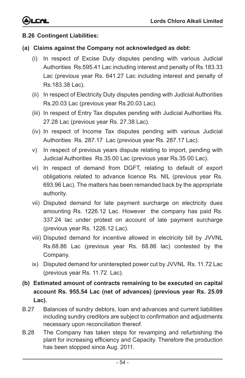

## **B.26 Contingent Liabilities:**

#### **(a) Claims against the Company not acknowledged as debt:**

- (i) In respect of Excise Duty disputes pending with various Judicial Authorities Rs.595.41 Lac including interest and penalty of Rs.183.33 Lac (previous year Rs. 641.27 Lac including interest and penalty of Rs.183.38 Lac).
- (ii) In respect of Electricity Duty disputes pending with Judicial Authorities Rs.20.03 Lac (previous year Rs.20.03 Lac).
- (iii) In respect of Entry Tax disputes pending with Judicial Authorities Rs. 27.28 Lac (previous year Rs. 27.38 Lac).
- (iv) In respect of Income Tax disputes pending with various Judicial Authorities Rs. 287.17 Lac (previous year Rs. 287.17 Lac).
- v) In respect of previous years dispute relating to import, pending with Judicial Authorities Rs.35.00 Lac (previous year Rs.35.00 Lac).
- vi) In respect of demand from DGFT, relating to default of export obligations related to advance licence Rs. NIL (previous year Rs. 693.96 Lac). The matters has been remanded back by the appropriate authority.
- vii) Disputed demand for late payment surcharge on electricity dues amounting Rs. 1226.12 Lac. However the company has paid Rs. 337.24 lac under protest on account of late payment surcharge (previous year Rs. 1226.12 Lac).
- viii) Disputed demand for incentive allowed in electricity bill by JVVNL Rs.68.86 Lac (previous year Rs. 68.86 lac) contested by the Company.
- ix) Disputed demand for uninterepted power cut by JVVNL Rs. 11.72 Lac (previous year Rs. 11.72 Lac).
- **(b) Estimated amount of contracts remaining to be executed on capital account Rs. 955.54 Lac (net of advances) (previous year Rs. 25.09 Lac).**
- B.27 Balances of sundry debtors, loan and advances and current liabilities including sundry creditors are subject to confirmation and adjustments necessary upon reconciliation thereof.
- B.28 The Company has taken steps for revamping and refurbishing the plant for increasing efficiency and Capacity. Therefore the production has been stopped since Aug. 2011.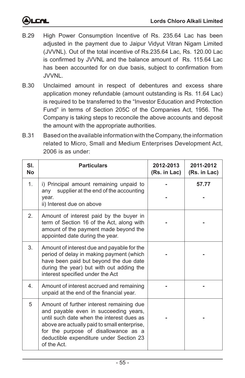# <u>cal</u>

- B.29 High Power Consumption Incentive of Rs. 235.64 Lac has been adjusted in the payment due to Jaipur Vidyut Vitran Nigam Limited (JVVNL). Out of the total incentive of Rs.235.64 Lac, Rs. 120.00 Lac is confirmed by JVVNL and the balance amount of Rs. 115.64 Lac has been accounted for on due basis, subject to confirmation from JVVNL.
- B.30 Unclaimed amount in respect of debentures and excess share application money refundable (amount outstanding is Rs. 11.64 Lac) is required to be transferred to the "Investor Education and Protection Fund" in terms of Section 205C of the Companies Act, 1956. The Company is taking steps to reconcile the above accounts and deposit the amount with the appropriate authorities.
- B.31 Based on the available information with the Company, the information related to Micro, Small and Medium Enterprises Development Act, 2006 is as under:

| SI.<br><b>No</b> | <b>Particulars</b>                                                                                                                                                                                                                                                               | 2012-2013<br>(Rs. in Lac) | 2011-2012<br>(Rs. in Lac) |
|------------------|----------------------------------------------------------------------------------------------------------------------------------------------------------------------------------------------------------------------------------------------------------------------------------|---------------------------|---------------------------|
| 1 <sup>1</sup>   | i) Principal amount remaining unpaid to<br>supplier at the end of the accounting<br>any<br>vear.<br>ii) Interest due on above                                                                                                                                                    |                           | 57.77                     |
| 2.               | Amount of interest paid by the buyer in<br>term of Section 16 of the Act, along with<br>amount of the payment made beyond the<br>appointed date during the year.                                                                                                                 |                           |                           |
| 3.               | Amount of interest due and payable for the<br>period of delay in making payment (which<br>have been paid but beyond the due date<br>during the year) but with out adding the<br>interest specified under the Act                                                                 |                           |                           |
| $\overline{4}$   | Amount of interest accrued and remaining<br>unpaid at the end of the financial year.                                                                                                                                                                                             |                           |                           |
| 5                | Amount of further interest remaining due<br>and payable even in succeeding years,<br>until such date when the interest dues as<br>above are actually paid to small enterprise,<br>for the purpose of disallowance as a<br>deductible expenditure under Section 23<br>of the Act. |                           |                           |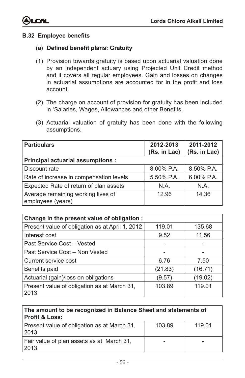

#### **B.32 Employee benefits**

#### **(a) Defined benefit plans: Gratuity**

- (1) Provision towards gratuity is based upon actuarial valuation done by an independent actuary using Projected Unit Credit method and it covers all regular employees. Gain and losses on changes in actuarial assumptions are accounted for in the profit and loss account.
- (2) The charge on account of provision for gratuity has been included in 'Salaries, Wages, Allowances and other Benefits.
- (3) Actuarial valuation of gratuity has been done with the following assumptions.

| <b>Particulars</b>                                      | 2012-2013<br>(Rs. in Lac) | 2011-2012<br>(Rs. in Lac) |
|---------------------------------------------------------|---------------------------|---------------------------|
| <b>Principal actuarial assumptions:</b>                 |                           |                           |
| Discount rate                                           | $8.00\%$ P.A.             | 8.50% P.A.                |
| Rate of increase in compensation levels                 | 5.50% P.A.                | 6.00% P.A.                |
| Expected Rate of return of plan assets                  | N.A.                      | N.A.                      |
| Average remaining working lives of<br>employees (years) | 12.96                     | 14.36                     |

| Change in the present value of obligation :         |         |         |
|-----------------------------------------------------|---------|---------|
| Present value of obligation as at April 1, 2012     | 119.01  | 135.68  |
| Interest cost                                       | 9.52    | 11.56   |
| Past Service Cost - Vested                          |         |         |
| Past Service Cost - Non Vested                      |         |         |
| Current service cost                                | 6.76    | 7.50    |
| Benefits paid                                       | (21.83) | (16.71) |
| Actuarial (gain)/loss on obligations                | (9.57)  | (19.02) |
| Present value of obligation as at March 31,<br>2013 | 103.89  | 119.01  |

| The amount to be recognized in Balance Sheet and statements of<br><b>Profit &amp; Loss:</b> |        |        |  |
|---------------------------------------------------------------------------------------------|--------|--------|--|
| Present value of obligation as at March 31,<br>2013                                         | 103.89 | 119.01 |  |
| Fair value of plan assets as at March 31,<br>2013                                           |        |        |  |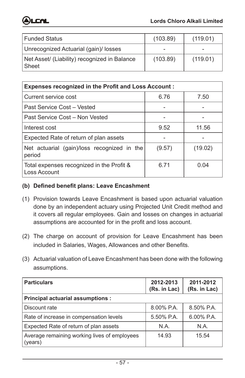

| <b>Funded Status</b>                                  | (103.89) | (119.01) |
|-------------------------------------------------------|----------|----------|
| Unrecognized Actuarial (gain)/ losses                 |          |          |
| Net Asset/ (Liability) recognized in Balance<br>Sheet | (103.89) | (119.01) |

| <b>Expenses recognized in the Profit and Loss Account:</b> |        |         |  |
|------------------------------------------------------------|--------|---------|--|
| Current service cost                                       | 6.76   | 7.50    |  |
| Past Service Cost - Vested                                 |        |         |  |
| Past Service Cost - Non Vested                             |        |         |  |
| Interest cost                                              | 9.52   | 11.56   |  |
| Expected Rate of return of plan assets                     |        |         |  |
| Net actuarial (gain)/loss recognized in the<br>period      | (9.57) | (19.02) |  |
| Total expenses recognized in the Profit &<br>Loss Account  | 6.71   | 0.04    |  |

#### **(b) Defined benefit plans: Leave Encashment**

- (1) Provision towards Leave Encashment is based upon actuarial valuation done by an independent actuary using Projected Unit Credit method and it covers all regular employees. Gain and losses on changes in actuarial assumptions are accounted for in the profit and loss account.
- (2) The charge on account of provision for Leave Encashment has been included in Salaries, Wages, Allowances and other Benefits.
- (3) Actuarial valuation of Leave Encashment has been done with the following assumptions.

| <b>Particulars</b>                                      | 2012-2013<br>(Rs. in Lac) | 2011-2012<br>(Rs. in Lac) |
|---------------------------------------------------------|---------------------------|---------------------------|
| Principal actuarial assumptions :                       |                           |                           |
| Discount rate                                           | $8.00\%$ P.A.             | 8.50% P.A.                |
| Rate of increase in compensation levels                 | 5.50% P.A.                | 6.00% P.A.                |
| Expected Rate of return of plan assets                  | N.A.                      | N.A.                      |
| Average remaining working lives of employees<br>(years) | 14.93                     | 15.54                     |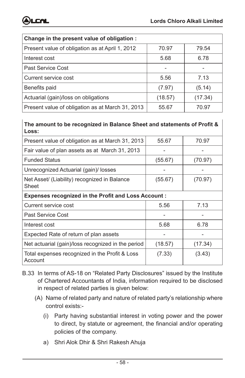

| Change in the present value of obligation :      |         |         |  |
|--------------------------------------------------|---------|---------|--|
| Present value of obligation as at April 1, 2012  | 70.97   | 79.54   |  |
| Interest cost                                    | 5.68    | 6.78    |  |
| Past Service Cost                                |         |         |  |
| Current service cost                             | 5.56    | 7.13    |  |
| Benefits paid                                    | (7.97)  | (5.14)  |  |
| Actuarial (gain)/loss on obligations             | (18.57) | (17.34) |  |
| Present value of obligation as at March 31, 2013 | 55.67   | 70.97   |  |

#### **The amount to be recognized in Balance Sheet and statements of Profit & Loss:**

| Present value of obligation as at March 31, 2013           | 55.67   | 70.97   |  |  |  |
|------------------------------------------------------------|---------|---------|--|--|--|
| Fair value of plan assets as at March 31, 2013             |         |         |  |  |  |
| <b>Funded Status</b>                                       | (55.67) | (70.97) |  |  |  |
| Unrecognized Actuarial (gain)/ losses                      |         |         |  |  |  |
| Net Asset/ (Liability) recognized in Balance<br>Sheet      | (55.67) | (70.97) |  |  |  |
| <b>Expenses recognized in the Profit and Loss Account:</b> |         |         |  |  |  |
| Current service cost                                       | 5.56    | 7.13    |  |  |  |
| Past Service Cost                                          |         |         |  |  |  |
| Interest cost                                              | 5.68    | 6.78    |  |  |  |
| Expected Rate of return of plan assets                     |         |         |  |  |  |
| Net actuarial (gain)/loss recognized in the period         | (18.57) | (17.34) |  |  |  |
| Total expenses recognized in the Profit & Loss<br>Account  | (7.33)  | (3.43)  |  |  |  |

- B.33 In terms of AS-18 on "Related Party Disclosures" issued by the Institute of Chartered Accountants of India, information required to be disclosed in respect of related parties is given below:
	- (A) Name of related party and nature of related party's relationship where control exists:-
		- (i) Party having substantial interest in voting power and the power to direct, by statute or agreement, the financial and/or operating policies of the company.
		- a) Shri Alok Dhir & Shri Rakesh Ahuja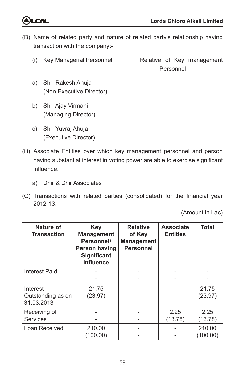- (B) Name of related party and nature of related party's relationship having transaction with the company:-
	-

(i) Key Managerial Personnel Relative of Key management Personnel

- a) Shri Rakesh Ahuja (Non Executive Director)
- b) Shri Ajay Virmani (Managing Director)
- c) Shri Yuvraj Ahuja (Executive Director)
- (iii) Associate Entities over which key management personnel and person having substantial interest in voting power are able to exercise significant influence.
	- a) Dhir & Dhir Associates
- (C) Transactions with related parties (consolidated) for the financial year 2012-13.

(Amount in Lac)

| Nature of<br><b>Transaction</b>             | Key<br><b>Management</b><br>Personnel/<br><b>Person having</b><br>Significant<br><b>Influence</b> | <b>Relative</b><br>of Key<br><b>Management</b><br><b>Personnel</b> | <b>Associate</b><br><b>Entities</b> | <b>Total</b>       |
|---------------------------------------------|---------------------------------------------------------------------------------------------------|--------------------------------------------------------------------|-------------------------------------|--------------------|
| <b>Interest Paid</b>                        |                                                                                                   |                                                                    |                                     |                    |
| Interest<br>Outstanding as on<br>31.03.2013 | 21.75<br>(23.97)                                                                                  |                                                                    |                                     | 21.75<br>(23.97)   |
| Receiving of<br><b>Services</b>             |                                                                                                   |                                                                    | 2.25<br>(13.78)                     | 2.25<br>(13.78)    |
| Loan Received                               | 210.00<br>(100.00)                                                                                |                                                                    |                                     | 210.00<br>(100.00) |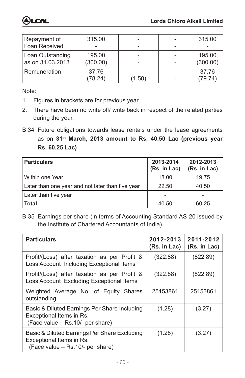

| Repayment of     | 315.00   |        | 315.00   |
|------------------|----------|--------|----------|
| Loan Received    |          |        |          |
| Loan Outstanding | 195.00   |        | 195.00   |
| as on 31.03.2013 | (300.00) |        | (300.00) |
| Remuneration     | 37.76    |        | 37.76    |
|                  | (78.24)  | (1.50) | (79.74)  |

Note:

- 1. Figures in brackets are for previous year.
- 2. There have been no write off/ write back in respect of the related parties during the year.
- B.34 Future obligations towards lease rentals under the lease agreements as on **31st March, 2013 amount to Rs. 40.50 Lac (previous year Rs. 60.25 Lac)**

| <b>Particulars</b>                               | 2013-2014<br>(Rs. in Lac) | 2012-2013<br>(Rs. in Lac) |
|--------------------------------------------------|---------------------------|---------------------------|
| Within one Year                                  | 18.00                     | 19.75                     |
| Later than one year and not later than five year | 22.50                     | 40.50                     |
| Later than five year                             |                           |                           |
| <b>Total</b>                                     | 40.50                     | 60.25                     |

B.35 Earnings per share (in terms of Accounting Standard AS-20 issued by the Institute of Chartered Accountants of India).

| <b>Particulars</b>                                                                                            | 2012-2013<br>(Rs. in Lac) | 2011-2012<br>(Rs. in Lac) |
|---------------------------------------------------------------------------------------------------------------|---------------------------|---------------------------|
| Profit/(Loss) after taxation as per Profit &<br>Loss Account Including Exceptional Items                      | (322.88)                  | (822.89)                  |
| Profit/(Loss) after taxation as per Profit &<br>Loss Account Excluding Exceptional Items                      | (322.88)                  | (822.89)                  |
| Weighted Average No. of Equity Shares<br>outstanding                                                          | 25153861                  | 25153861                  |
| Basic & Diluted Earnings Per Share Including<br>Exceptional Items in Rs.<br>(Face value – Rs. 10/- per share) | (1.28)                    | (3.27)                    |
| Basic & Diluted Earnings Per Share Excluding<br>Exceptional Items in Rs.<br>(Face value - Rs.10/- per share)  | (1.28)                    | (3.27)                    |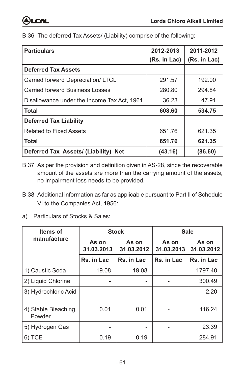B.36 The deferred Tax Assets/ (Liability) comprise of the following:

| <b>Particulars</b>                          | 2012-2013    | 2011-2012    |  |
|---------------------------------------------|--------------|--------------|--|
|                                             | (Rs. in Lac) | (Rs. in Lac) |  |
| <b>Deferred Tax Assets</b>                  |              |              |  |
| Carried forward Depreciation/LTCL           | 291.57       | 192.00       |  |
| <b>Carried forward Business Losses</b>      | 280.80       | 294.84       |  |
| Disallowance under the Income Tax Act, 1961 | 36.23        | 47.91        |  |
| <b>Total</b>                                | 608.60       | 534.75       |  |
| <b>Deferred Tax Liability</b>               |              |              |  |
| <b>Related to Fixed Assets</b>              | 651.76       | 621.35       |  |
| <b>Total</b>                                | 651.76       | 621.35       |  |
| Deferred Tax Assets/ (Liability) Net        | (43.16)      | (86.60)      |  |

B.37 As per the provision and definition given in AS-28, since the recoverable amount of the assets are more than the carrying amount of the assets, no impairment loss needs to be provided.

- B.38 Additional information as far as applicable pursuant to Part II of Schedule VI to the Companies Act, 1956:
- a) Particulars of Stocks & Sales:

| Items of                      | <b>Stock</b>                               |            | <b>Sale</b>         |                     |
|-------------------------------|--------------------------------------------|------------|---------------------|---------------------|
| manufacture                   | As on<br>As on<br>31.03.2013<br>31.03.2012 |            | As on<br>31.03.2013 | As on<br>31.03.2012 |
|                               | Rs. in Lac                                 | Rs. in Lac | Rs. in Lac          | Rs. in Lac          |
| 1) Caustic Soda               | 19.08                                      | 19.08      |                     | 1797.40             |
| 2) Liquid Chlorine            |                                            |            |                     | 300.49              |
| 3) Hydrochloric Acid          |                                            | -          |                     | 2.20                |
| 4) Stable Bleaching<br>Powder | 0.01                                       | 0.01       |                     | 116.24              |
| 5) Hydrogen Gas               |                                            |            |                     | 23.39               |
| 6) TCE                        | 0.19                                       | 0.19       |                     | 284.91              |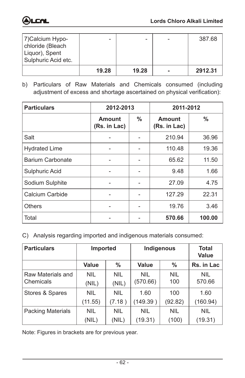

| 7) Calcium Hypo-<br>chloride (Bleach  |       | -     | 387.68  |
|---------------------------------------|-------|-------|---------|
| Liquor), Spent<br>Sulphuric Acid etc. |       |       |         |
|                                       | 19.28 | 19.28 | 2912.31 |

b) Particulars of Raw Materials and Chemicals consumed (including adjustment of excess and shortage ascertained on physical verification):

| <b>Particulars</b>   | 2012-2013                     |   | 2011-2012                     |        |
|----------------------|-------------------------------|---|-------------------------------|--------|
|                      | <b>Amount</b><br>(Rs. in Lac) | % | <b>Amount</b><br>(Rs. in Lac) | %      |
| Salt                 |                               |   | 210.94                        | 36.96  |
| <b>Hydrated Lime</b> |                               |   | 110.48                        | 19.36  |
| Barium Carbonate     |                               |   | 65.62                         | 11.50  |
| Sulphuric Acid       |                               |   | 9.48                          | 1.66   |
| Sodium Sulphite      |                               |   | 27.09                         | 4.75   |
| Calcium Carbide      |                               |   | 127.29                        | 22.31  |
| <b>Others</b>        |                               |   | 19.76                         | 3.46   |
| Total                |                               |   | 570.66                        | 100.00 |

C) Analysis regarding imported and indigenous materials consumed:

| <b>Particulars</b>             | <b>Imported</b> |                     |                        |                   | Indigenous           |  | <b>Total</b><br><b>Value</b> |
|--------------------------------|-----------------|---------------------|------------------------|-------------------|----------------------|--|------------------------------|
|                                | <b>Value</b>    | %                   | <b>Value</b>           | $\frac{0}{0}$     | Rs. in Lac           |  |                              |
| Raw Materials and<br>Chemicals | NIL.<br>(NIL)   | <b>NIL</b><br>(NIL) | <b>NIL</b><br>(570.66) | <b>NIL</b><br>100 | <b>NIL</b><br>570.66 |  |                              |
| Stores & Spares                | NIL.            | <b>NIL</b>          | 1.60                   | 100               | 1.60                 |  |                              |
|                                | (11.55)         | (7.18)              | (149.39)               | (92.82)           | (160.94)             |  |                              |
| <b>Packing Materials</b>       | NIL.            | <b>NIL</b>          | <b>NIL</b>             | <b>NIL</b>        | <b>NIL</b>           |  |                              |
|                                | (NIL)           | (NIL)               | (19.31)                | (100)             | (19.31)              |  |                              |

Note: Figures in brackets are for previous year.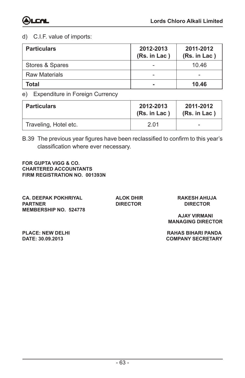#### d) C.I.F. value of imports:

| <b>Particulars</b>   | 2012-2013<br>(Rs. in Lac) | 2011-2012<br>(Rs. in Lac) |
|----------------------|---------------------------|---------------------------|
| Stores & Spares      |                           | 10.46                     |
| <b>Raw Materials</b> | -                         |                           |
| Total                |                           | 10.46                     |

#### e) Expenditure in Foreign Currency

| <b>Particulars</b>    | 2012-2013<br>(Rs. in Lac) | 2011-2012<br>(Rs. in Lac) |
|-----------------------|---------------------------|---------------------------|
| Traveling, Hotel etc. | 2.01                      |                           |

B.39 The previous year figures have been reclassified to confirm to this year's classification where ever necessary.

**FOR GUPTA VIGG & CO. CHARTERED ACCOUNTANTS FIRM REGISTRATION NO. 001393N**

**CA. DEEPAK POKHRIYAL ALOK DHIR RAKESH AHUJA MEMBERSHIP NO. 524778**

**PIRECTOR** 

**AJAY VIRMANI MANAGING DIRECTOR**

**PLACE: NEW DELHI RAHAS BIHARI PANDA COMPANY SECRETARY**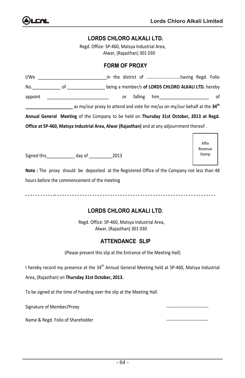#### **LORDS CHLORO ALKALI LTD.**

 Regd. Office: SP-460, Matsya Industrial Area, Alwar, (Rajasthan) 301 030

## **FORM OF PROXY**

| I/We <b>Southern Communist Communist Communist Communist Communist Communist Communist Communist Communist Communist Communist Communist Communist Communist Communist Communist Communist Communist Communist Communist Communi</b> |                                                                |                            |    |  |             |  |  |                           |      |
|--------------------------------------------------------------------------------------------------------------------------------------------------------------------------------------------------------------------------------------|----------------------------------------------------------------|----------------------------|----|--|-------------|--|--|---------------------------|------|
|                                                                                                                                                                                                                                      |                                                                |                            |    |  |             |  |  |                           |      |
| appoint                                                                                                                                                                                                                              |                                                                |                            | or |  | falling him |  |  |                           | - of |
| _____________________ as my/our proxy to attend and vote for me/us on my/our behalf at the 34 <sup>th</sup>                                                                                                                          |                                                                |                            |    |  |             |  |  |                           |      |
| Annual General Meeting of the Company to be held on Thursday 31st October, 2013 at Regd.                                                                                                                                             |                                                                |                            |    |  |             |  |  |                           |      |
| Office at SP-460, Matsya Industrial Area, Alwar (Rajasthan) and at any adjournment thereof.                                                                                                                                          |                                                                |                            |    |  |             |  |  |                           |      |
| Signed this day of 2013                                                                                                                                                                                                              |                                                                |                            |    |  |             |  |  | Affix<br>Revenue<br>Stamp |      |
| Note: The proxy should be deposited at the Registered Office of the Company not less than 48                                                                                                                                         |                                                                |                            |    |  |             |  |  |                           |      |
| hours before the commencement of the meeting                                                                                                                                                                                         |                                                                | LORDS CHLORO ALKALI LTD.   |    |  |             |  |  |                           |      |
|                                                                                                                                                                                                                                      |                                                                |                            |    |  |             |  |  |                           |      |
|                                                                                                                                                                                                                                      | Regd. Office: SP-460, Matsya Industrial Area,                  | Alwar, (Rajasthan) 301 030 |    |  |             |  |  |                           |      |
|                                                                                                                                                                                                                                      |                                                                | <b>ATTENDANCE SLIP</b>     |    |  |             |  |  |                           |      |
|                                                                                                                                                                                                                                      | (Please present this slip at the Entrance of the Meeting Hall) |                            |    |  |             |  |  |                           |      |
| I hereby record my presence at the 34 <sup>th</sup> Annual General Meeting held at SP-460, Matsya Industrial                                                                                                                         |                                                                |                            |    |  |             |  |  |                           |      |
| Area, (Rajasthan) on Thursday 31st October, 2013.                                                                                                                                                                                    |                                                                |                            |    |  |             |  |  |                           |      |

To be signed at the time of handing over the slip at the Meeting Hall.

Signature of Member/Proxy and the state of the state of the state of the state of the state of the state of the state of the state of the state of the state of the state of the state of the state of the state of the state

Name & Regd. Folio of Shareholder -----------------------------